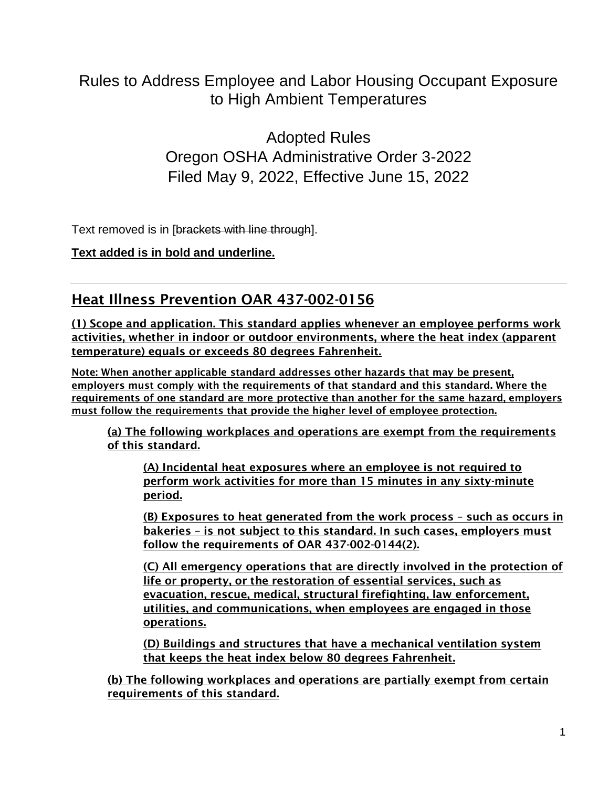# Rules to Address Employee and Labor Housing Occupant Exposure to High Ambient Temperatures

Adopted Rules Oregon OSHA Administrative Order 3-2022 Filed May 9, 2022, Effective June 15, 2022

Text removed is in [brackets with line through].

**Text added is in bold and underline.**

# Heat Illness Prevention OAR 437-002-0156

(1) Scope and application. This standard applies whenever an employee performs work activities, whether in indoor or outdoor environments, where the heat index (apparent temperature) equals or exceeds 80 degrees Fahrenheit.

Note: When another applicable standard addresses other hazards that may be present, employers must comply with the requirements of that standard and this standard. Where the requirements of one standard are more protective than another for the same hazard, employers must follow the requirements that provide the higher level of employee protection.

(a) The following workplaces and operations are exempt from the requirements of this standard.

(A) Incidental heat exposures where an employee is not required to perform work activities for more than 15 minutes in any sixty-minute period.

(B) Exposures to heat generated from the work process – such as occurs in bakeries – is not subject to this standard. In such cases, employers must follow the requirements of OAR 437-002-0144(2).

(C) All emergency operations that are directly involved in the protection of life or property, or the restoration of essential services, such as evacuation, rescue, medical, structural firefighting, law enforcement, utilities, and communications, when employees are engaged in those operations.

(D) Buildings and structures that have a mechanical ventilation system that keeps the heat index below 80 degrees Fahrenheit.

(b) The following workplaces and operations are partially exempt from certain requirements of this standard.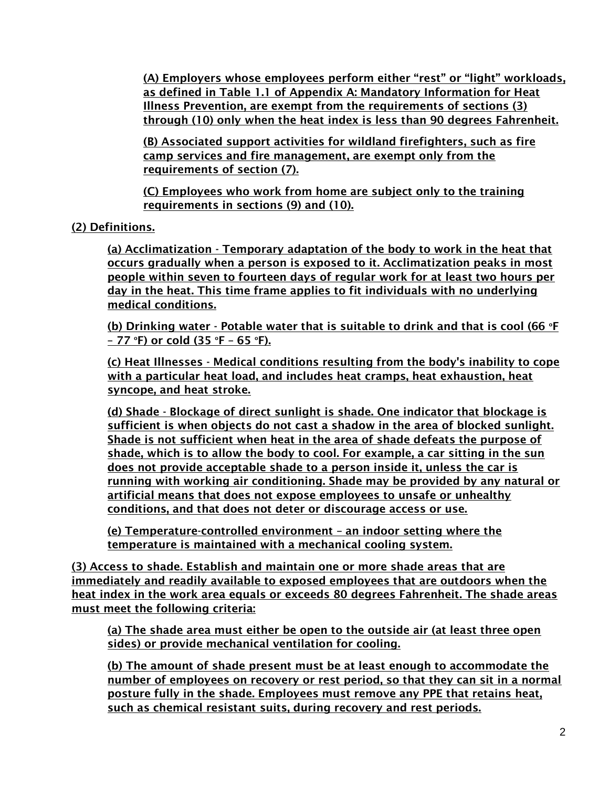(A) Employers whose employees perform either "rest" or "light" workloads, as defined in Table 1.1 of Appendix A: Mandatory Information for Heat Illness Prevention, are exempt from the requirements of sections (3) through (10) only when the heat index is less than 90 degrees Fahrenheit.

(B) Associated support activities for wildland firefighters, such as fire camp services and fire management, are exempt only from the requirements of section (7).

(C) Employees who work from home are subject only to the training requirements in sections (9) and (10).

## (2) Definitions.

(a) Acclimatization - Temporary adaptation of the body to work in the heat that occurs gradually when a person is exposed to it. Acclimatization peaks in most people within seven to fourteen days of regular work for at least two hours per day in the heat. This time frame applies to fit individuals with no underlying medical conditions.

(b) Drinking water - Potable water that is suitable to drink and that is cool (66  $\degree$ F – 77 °F) or cold  $(35$  °F – 65 °F).

(c) Heat Illnesses - Medical conditions resulting from the body's inability to cope with a particular heat load, and includes heat cramps, heat exhaustion, heat syncope, and heat stroke.

(d) Shade - Blockage of direct sunlight is shade. One indicator that blockage is sufficient is when objects do not cast a shadow in the area of blocked sunlight. Shade is not sufficient when heat in the area of shade defeats the purpose of shade, which is to allow the body to cool. For example, a car sitting in the sun does not provide acceptable shade to a person inside it, unless the car is running with working air conditioning. Shade may be provided by any natural or artificial means that does not expose employees to unsafe or unhealthy conditions, and that does not deter or discourage access or use.

(e) Temperature-controlled environment – an indoor setting where the temperature is maintained with a mechanical cooling system.

(3) Access to shade. Establish and maintain one or more shade areas that are immediately and readily available to exposed employees that are outdoors when the heat index in the work area equals or exceeds 80 degrees Fahrenheit. The shade areas must meet the following criteria:

(a) The shade area must either be open to the outside air (at least three open sides) or provide mechanical ventilation for cooling.

(b) The amount of shade present must be at least enough to accommodate the number of employees on recovery or rest period, so that they can sit in a normal posture fully in the shade. Employees must remove any PPE that retains heat, such as chemical resistant suits, during recovery and rest periods.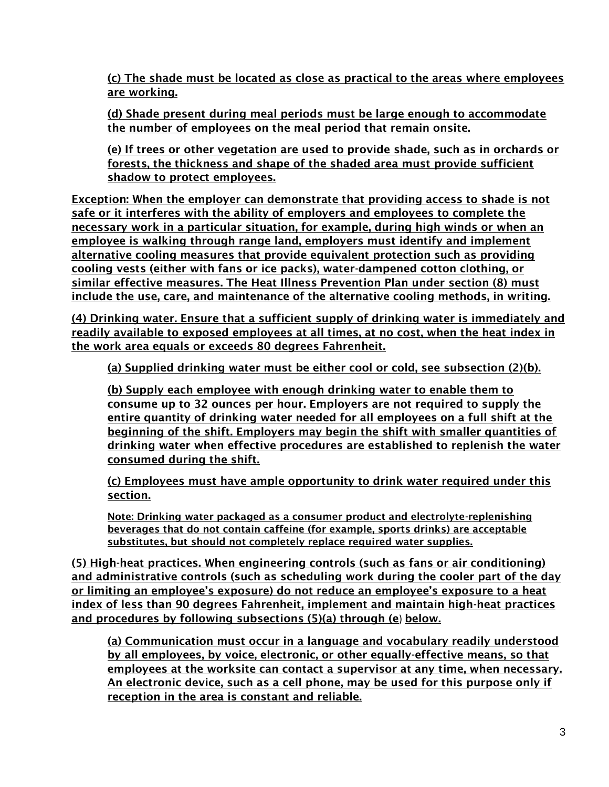(c) The shade must be located as close as practical to the areas where employees are working.

(d) Shade present during meal periods must be large enough to accommodate the number of employees on the meal period that remain onsite.

(e) If trees or other vegetation are used to provide shade, such as in orchards or forests, the thickness and shape of the shaded area must provide sufficient shadow to protect employees.

Exception: When the employer can demonstrate that providing access to shade is not safe or it interferes with the ability of employers and employees to complete the necessary work in a particular situation, for example, during high winds or when an employee is walking through range land, employers must identify and implement alternative cooling measures that provide equivalent protection such as providing cooling vests (either with fans or ice packs), water-dampened cotton clothing, or similar effective measures. The Heat Illness Prevention Plan under section (8) must include the use, care, and maintenance of the alternative cooling methods, in writing.

(4) Drinking water. Ensure that a sufficient supply of drinking water is immediately and readily available to exposed employees at all times, at no cost, when the heat index in the work area equals or exceeds 80 degrees Fahrenheit.

(a) Supplied drinking water must be either cool or cold, see subsection (2)(b).

(b) Supply each employee with enough drinking water to enable them to consume up to 32 ounces per hour. Employers are not required to supply the entire quantity of drinking water needed for all employees on a full shift at the beginning of the shift. Employers may begin the shift with smaller quantities of drinking water when effective procedures are established to replenish the water consumed during the shift.

(c) Employees must have ample opportunity to drink water required under this section.

Note: Drinking water packaged as a consumer product and electrolyte-replenishing beverages that do not contain caffeine (for example, sports drinks) are acceptable substitutes, but should not completely replace required water supplies.

(5) High-heat practices. When engineering controls (such as fans or air conditioning) and administrative controls (such as scheduling work during the cooler part of the day or limiting an employee's exposure) do not reduce an employee's exposure to a heat index of less than 90 degrees Fahrenheit, implement and maintain high-heat practices and procedures by following subsections (5)(a) through (e) below.

(a) Communication must occur in a language and vocabulary readily understood by all employees, by voice, electronic, or other equally-effective means, so that employees at the worksite can contact a supervisor at any time, when necessary. An electronic device, such as a cell phone, may be used for this purpose only if reception in the area is constant and reliable.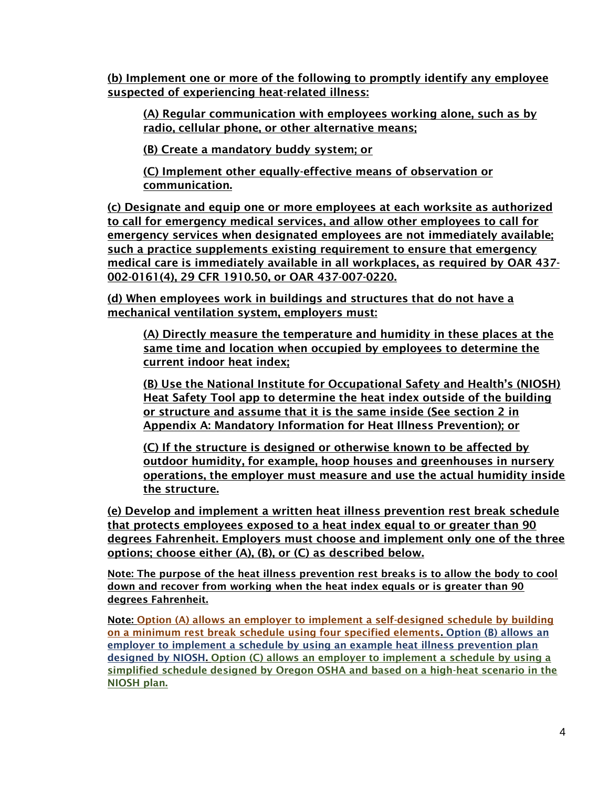(b) Implement one or more of the following to promptly identify any employee suspected of experiencing heat-related illness:

(A) Regular communication with employees working alone, such as by radio, cellular phone, or other alternative means;

(B) Create a mandatory buddy system; or

(C) Implement other equally-effective means of observation or communication.

(c) Designate and equip one or more employees at each worksite as authorized to call for emergency medical services, and allow other employees to call for emergency services when designated employees are not immediately available; such a practice supplements existing requirement to ensure that emergency medical care is immediately available in all workplaces, as required by OAR 437- 002-0161(4), 29 CFR 1910.50, or OAR 437-007-0220.

(d) When employees work in buildings and structures that do not have a mechanical ventilation system, employers must:

(A) Directly measure the temperature and humidity in these places at the same time and location when occupied by employees to determine the current indoor heat index;

(B) Use the National Institute for Occupational Safety and Health's (NIOSH) Heat Safety Tool app to determine the heat index outside of the building or structure and assume that it is the same inside (See section 2 in Appendix A: Mandatory Information for Heat Illness Prevention); or

(C) If the structure is designed or otherwise known to be affected by outdoor humidity, for example, hoop houses and greenhouses in nursery operations, the employer must measure and use the actual humidity inside the structure.

(e) Develop and implement a written heat illness prevention rest break schedule that protects employees exposed to a heat index equal to or greater than 90 degrees Fahrenheit. Employers must choose and implement only one of the three options; choose either (A), (B), or (C) as described below.

Note: The purpose of the heat illness prevention rest breaks is to allow the body to cool down and recover from working when the heat index equals or is greater than 90 degrees Fahrenheit.

Note: Option (A) allows an employer to implement a self-designed schedule by building on a minimum rest break schedule using four specified elements. Option (B) allows an employer to implement a schedule by using an example heat illness prevention plan designed by NIOSH. Option (C) allows an employer to implement a schedule by using a simplified schedule designed by Oregon OSHA and based on a high-heat scenario in the NIOSH plan.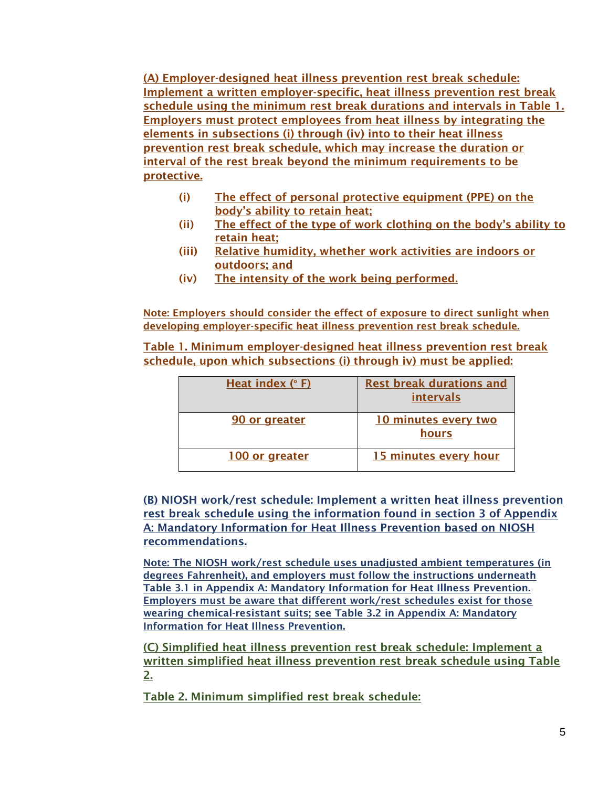(A) Employer-designed heat illness prevention rest break schedule: Implement a written employer-specific, heat illness prevention rest break schedule using the minimum rest break durations and intervals in Table 1. Employers must protect employees from heat illness by integrating the elements in subsections (i) through (iv) into to their heat illness prevention rest break schedule, which may increase the duration or interval of the rest break beyond the minimum requirements to be protective.

- (i) The effect of personal protective equipment (PPE) on the body's ability to retain heat;
- (ii) The effect of the type of work clothing on the body's ability to retain heat;
- (iii) Relative humidity, whether work activities are indoors or outdoors; and
- (iv) The intensity of the work being performed.

Note: Employers should consider the effect of exposure to direct sunlight when developing employer-specific heat illness prevention rest break schedule.

Table 1. Minimum employer-designed heat illness prevention rest break schedule, upon which subsections (i) through iv) must be applied:

| Heat index $(° F)$ | <b>Rest break durations and</b><br>intervals |
|--------------------|----------------------------------------------|
| 90 or greater      | 10 minutes every two<br>hours                |
| 100 or greater     | 15 minutes every hour                        |

(B) NIOSH work/rest schedule: Implement a written heat illness prevention rest break schedule using the information found in section 3 of Appendix A: Mandatory Information for Heat Illness Prevention based on NIOSH recommendations.

Note: The NIOSH work/rest schedule uses unadjusted ambient temperatures (in degrees Fahrenheit), and employers must follow the instructions underneath Table 3.1 in Appendix A: Mandatory Information for Heat Illness Prevention. Employers must be aware that different work/rest schedules exist for those wearing chemical-resistant suits; see Table 3.2 in Appendix A: Mandatory Information for Heat Illness Prevention.

(C) Simplified heat illness prevention rest break schedule: Implement a written simplified heat illness prevention rest break schedule using Table 2.

Table 2. Minimum simplified rest break schedule: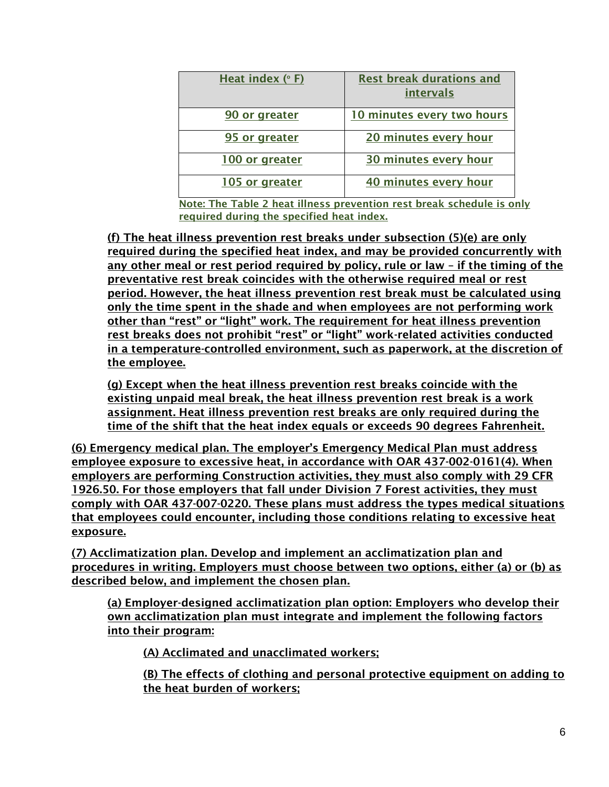| Heat index (°F) | <b>Rest break durations and</b><br>intervals |
|-----------------|----------------------------------------------|
| 90 or greater   | 10 minutes every two hours                   |
| 95 or greater   | 20 minutes every hour                        |
| 100 or greater  | 30 minutes every hour                        |
| 105 or greater  | 40 minutes every hour                        |

Note: The Table 2 heat illness prevention rest break schedule is only required during the specified heat index.

(f) The heat illness prevention rest breaks under subsection (5)(e) are only required during the specified heat index, and may be provided concurrently with any other meal or rest period required by policy, rule or law – if the timing of the preventative rest break coincides with the otherwise required meal or rest period. However, the heat illness prevention rest break must be calculated using only the time spent in the shade and when employees are not performing work other than "rest" or "light" work. The requirement for heat illness prevention rest breaks does not prohibit "rest" or "light" work-related activities conducted in a temperature-controlled environment, such as paperwork, at the discretion of the employee.

(g) Except when the heat illness prevention rest breaks coincide with the existing unpaid meal break, the heat illness prevention rest break is a work assignment. Heat illness prevention rest breaks are only required during the time of the shift that the heat index equals or exceeds 90 degrees Fahrenheit.

(6) Emergency medical plan. The employer's Emergency Medical Plan must address employee exposure to excessive heat, in accordance with OAR 437-002-0161(4). When employers are performing Construction activities, they must also comply with 29 CFR 1926.50. For those employers that fall under Division 7 Forest activities, they must comply with OAR 437-007-0220. These plans must address the types medical situations that employees could encounter, including those conditions relating to excessive heat exposure.

(7) Acclimatization plan. Develop and implement an acclimatization plan and procedures in writing. Employers must choose between two options, either (a) or (b) as described below, and implement the chosen plan.

(a) Employer-designed acclimatization plan option: Employers who develop their own acclimatization plan must integrate and implement the following factors into their program:

(A) Acclimated and unacclimated workers;

(B) The effects of clothing and personal protective equipment on adding to the heat burden of workers;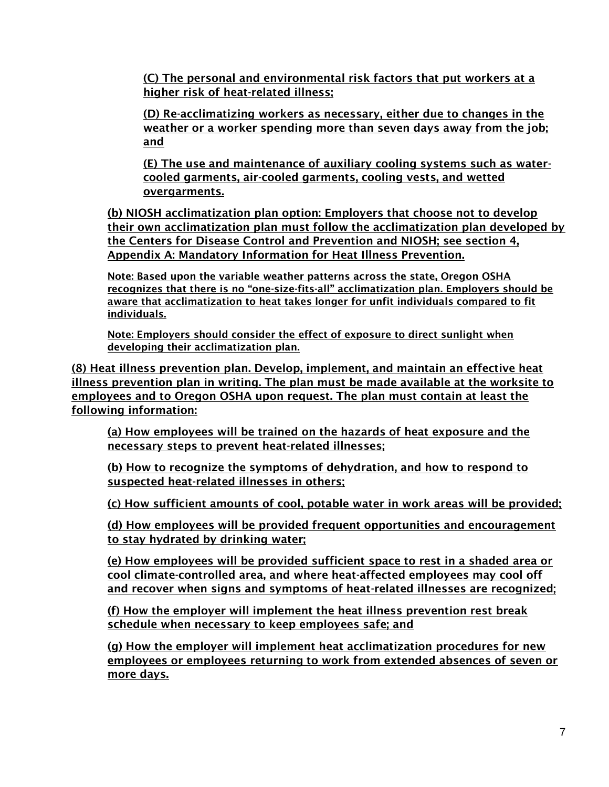(C) The personal and environmental risk factors that put workers at a higher risk of heat-related illness;

(D) Re-acclimatizing workers as necessary, either due to changes in the weather or a worker spending more than seven days away from the job; and

(E) The use and maintenance of auxiliary cooling systems such as watercooled garments, air-cooled garments, cooling vests, and wetted overgarments.

(b) NIOSH acclimatization plan option: Employers that choose not to develop their own acclimatization plan must follow the acclimatization plan developed by the Centers for Disease Control and Prevention and NIOSH; see section 4, Appendix A: Mandatory Information for Heat Illness Prevention.

Note: Based upon the variable weather patterns across the state, Oregon OSHA recognizes that there is no "one-size-fits-all" acclimatization plan. Employers should be aware that acclimatization to heat takes longer for unfit individuals compared to fit individuals.

Note: Employers should consider the effect of exposure to direct sunlight when developing their acclimatization plan.

(8) Heat illness prevention plan. Develop, implement, and maintain an effective heat illness prevention plan in writing. The plan must be made available at the worksite to employees and to Oregon OSHA upon request. The plan must contain at least the following information:

(a) How employees will be trained on the hazards of heat exposure and the necessary steps to prevent heat-related illnesses;

(b) How to recognize the symptoms of dehydration, and how to respond to suspected heat-related illnesses in others;

(c) How sufficient amounts of cool, potable water in work areas will be provided;

(d) How employees will be provided frequent opportunities and encouragement to stay hydrated by drinking water;

(e) How employees will be provided sufficient space to rest in a shaded area or cool climate-controlled area, and where heat-affected employees may cool off and recover when signs and symptoms of heat-related illnesses are recognized;

(f) How the employer will implement the heat illness prevention rest break schedule when necessary to keep employees safe; and

(g) How the employer will implement heat acclimatization procedures for new employees or employees returning to work from extended absences of seven or more days.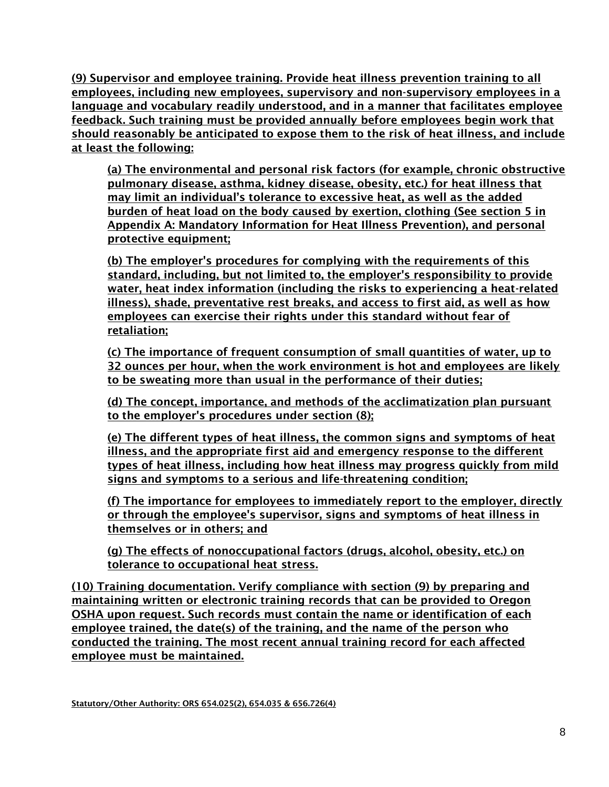(9) Supervisor and employee training. Provide heat illness prevention training to all employees, including new employees, supervisory and non-supervisory employees in a language and vocabulary readily understood, and in a manner that facilitates employee feedback. Such training must be provided annually before employees begin work that should reasonably be anticipated to expose them to the risk of heat illness, and include at least the following:

(a) The environmental and personal risk factors (for example, chronic obstructive pulmonary disease, asthma, kidney disease, obesity, etc.) for heat illness that may limit an individual's tolerance to excessive heat, as well as the added burden of heat load on the body caused by exertion, clothing (See section 5 in Appendix A: Mandatory Information for Heat Illness Prevention), and personal protective equipment;

(b) The employer's procedures for complying with the requirements of this standard, including, but not limited to, the employer's responsibility to provide water, heat index information (including the risks to experiencing a heat-related illness), shade, preventative rest breaks, and access to first aid, as well as how employees can exercise their rights under this standard without fear of retaliation;

(c) The importance of frequent consumption of small quantities of water, up to 32 ounces per hour, when the work environment is hot and employees are likely to be sweating more than usual in the performance of their duties;

(d) The concept, importance, and methods of the acclimatization plan pursuant to the employer's procedures under section (8);

(e) The different types of heat illness, the common signs and symptoms of heat illness, and the appropriate first aid and emergency response to the different types of heat illness, including how heat illness may progress quickly from mild signs and symptoms to a serious and life-threatening condition;

(f) The importance for employees to immediately report to the employer, directly or through the employee's supervisor, signs and symptoms of heat illness in themselves or in others; and

(g) The effects of nonoccupational factors (drugs, alcohol, obesity, etc.) on tolerance to occupational heat stress.

(10) Training documentation. Verify compliance with section (9) by preparing and maintaining written or electronic training records that can be provided to Oregon OSHA upon request. Such records must contain the name or identification of each employee trained, the date(s) of the training, and the name of the person who conducted the training. The most recent annual training record for each affected employee must be maintained.

Statutory/Other Authority: ORS 654.025(2), 654.035 & 656.726(4)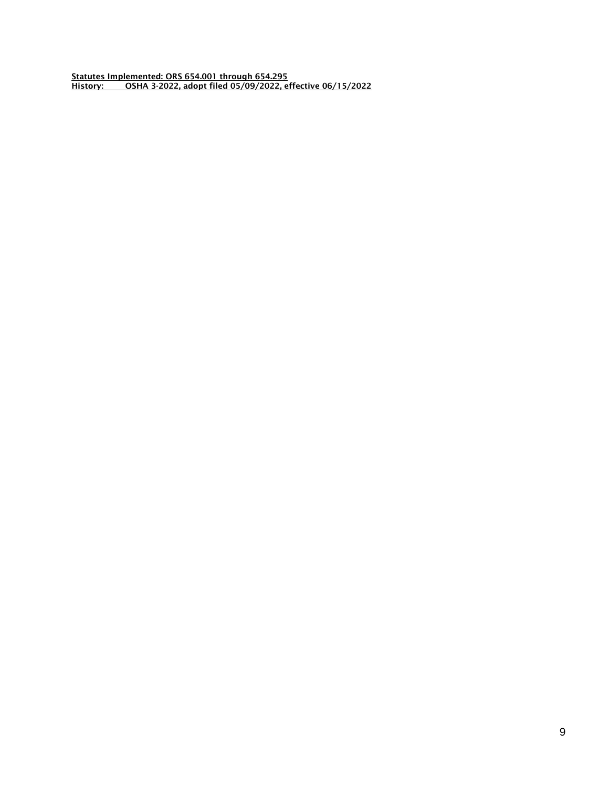Statutes Implemented: ORS 654.001 through 654.295 History: OSHA 3-2022, adopt filed 05/09/2022, effective 06/15/2022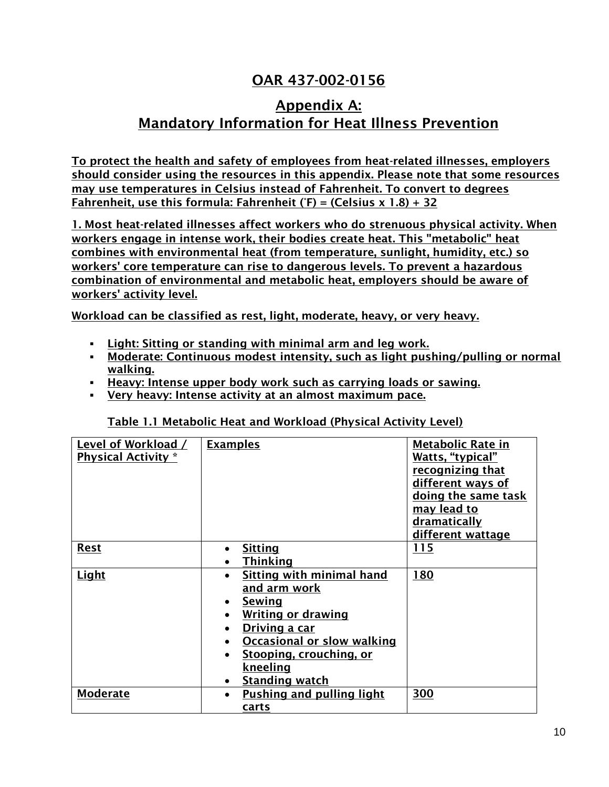# OAR 437-002-0156

## Appendix A: Mandatory Information for Heat Illness Prevention

To protect the health and safety of employees from heat-related illnesses, employers should consider using the resources in this appendix. Please note that some resources may use temperatures in Celsius instead of Fahrenheit. To convert to degrees Fahrenheit, use this formula: Fahrenheit ( $F$ ) = (Celsius x 1.8) + 32

1. Most heat-related illnesses affect workers who do strenuous physical activity. When workers engage in intense work, their bodies create heat. This "metabolic" heat combines with environmental heat (from temperature, sunlight, humidity, etc.) so workers' core temperature can rise to dangerous levels. To prevent a hazardous combination of environmental and metabolic heat, employers should be aware of workers' activity level.

Workload can be classified as rest, light, moderate, heavy, or very heavy.

- Light: Sitting or standing with minimal arm and leg work.
- **Moderate: Continuous modest intensity, such as light pushing/pulling or normal** walking.
- **EXECT:** Heavy: Intense upper body work such as carrying loads or sawing.
- Very heavy: Intense activity at an almost maximum pace.

| Level of Workload /        | <b>Examples</b>                               | <b>Metabolic Rate in</b> |
|----------------------------|-----------------------------------------------|--------------------------|
| <b>Physical Activity</b> * |                                               | Watts, "typical"         |
|                            |                                               | recognizing that         |
|                            |                                               | different ways of        |
|                            |                                               | doing the same task      |
|                            |                                               | <u>may lead to</u>       |
|                            |                                               | dramatically             |
|                            |                                               | different wattage        |
| <b>Rest</b>                | <b>Sitting</b>                                | 115                      |
|                            | <b>Thinking</b>                               |                          |
| Light                      | Sitting with minimal hand                     | 180                      |
|                            | <u>and arm work</u>                           |                          |
|                            | Sewing                                        |                          |
|                            | <b>Writing or drawing</b>                     |                          |
|                            | Driving a car                                 |                          |
|                            | <b>Occasional or slow walking</b>             |                          |
|                            | <b>Stooping, crouching, or</b>                |                          |
|                            | <u>kneeling</u>                               |                          |
|                            | <b>Standing watch</b>                         |                          |
| <b>Moderate</b>            | <b>Pushing and pulling light</b><br>$\bullet$ | 300                      |
|                            | carts                                         |                          |
|                            |                                               |                          |

Table 1.1 Metabolic Heat and Workload (Physical Activity Level)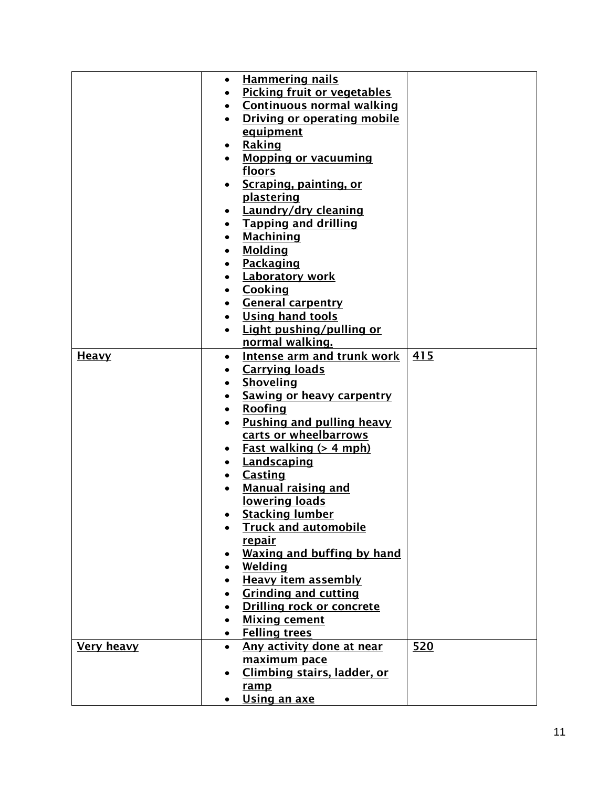|                   | $\bullet$ | <b>Hammering nails</b>             |     |
|-------------------|-----------|------------------------------------|-----|
|                   |           | <b>Picking fruit or vegetables</b> |     |
|                   |           | <b>Continuous normal walking</b>   |     |
|                   |           | <b>Driving or operating mobile</b> |     |
|                   |           | equipment                          |     |
|                   |           | Raking                             |     |
|                   |           | <b>Mopping or vacuuming</b>        |     |
|                   |           | floors                             |     |
|                   |           | Scraping, painting, or             |     |
|                   |           | plastering                         |     |
|                   |           | Laundry/dry cleaning               |     |
|                   |           | <b>Tapping and drilling</b>        |     |
|                   |           | <b>Machining</b>                   |     |
|                   |           | <b>Molding</b>                     |     |
|                   |           | Packaging                          |     |
|                   |           | <b>Laboratory work</b>             |     |
|                   |           | Cooking                            |     |
|                   |           | <b>General carpentry</b>           |     |
|                   |           | <b>Using hand tools</b>            |     |
|                   |           | Light pushing/pulling or           |     |
|                   |           | normal walking.                    |     |
| <b>Heavy</b>      | $\bullet$ | <b>Intense arm and trunk work</b>  | 415 |
|                   |           | <b>Carrying loads</b>              |     |
|                   |           | Shoveling                          |     |
|                   |           | <b>Sawing or heavy carpentry</b>   |     |
|                   |           | Roofing                            |     |
|                   |           | Pushing and pulling heavy          |     |
|                   |           | carts or wheelbarrows              |     |
|                   |           | <u>Fast walking (&gt; 4 mph)</u>   |     |
|                   |           | Landscaping                        |     |
|                   |           | <b>Casting</b>                     |     |
|                   |           | <b>Manual raising and</b>          |     |
|                   |           | lowering loads                     |     |
|                   |           | <b>Stacking lumber</b>             |     |
|                   |           | <b>Truck and automobile</b>        |     |
|                   |           | <u>repair</u>                      |     |
|                   |           | <b>Waxing and buffing by hand</b>  |     |
|                   |           | Welding                            |     |
|                   |           | <b>Heavy item assembly</b>         |     |
|                   |           | <b>Grinding and cutting</b>        |     |
|                   |           | <b>Drilling rock or concrete</b>   |     |
|                   |           | <b>Mixing cement</b>               |     |
|                   | $\bullet$ | <b>Felling trees</b>               |     |
| <b>Very heavy</b> | $\bullet$ | Any activity done at near          | 520 |
|                   |           | maximum pace                       |     |
|                   |           | Climbing stairs, ladder, or        |     |
|                   |           | ramp                               |     |
|                   |           | Using an axe                       |     |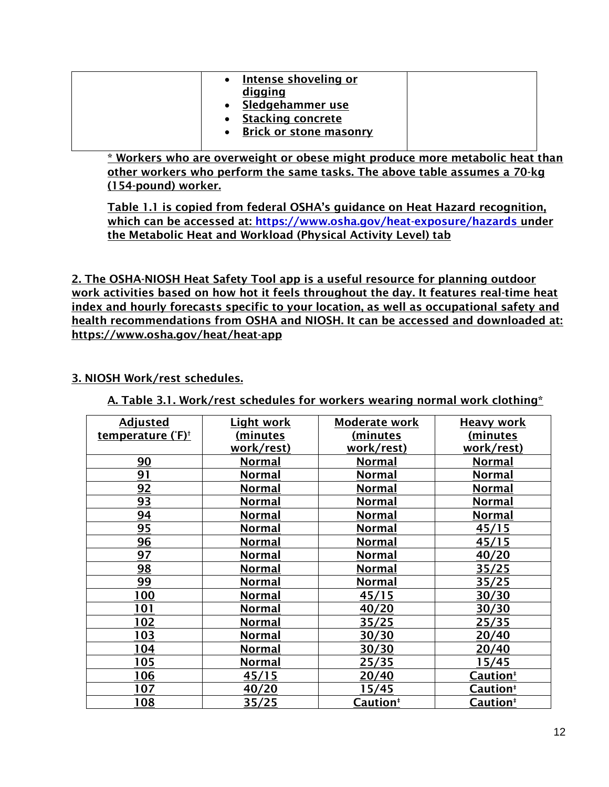| <b>Intense shoveling or</b><br>digging<br>Sledgehammer use<br><b>Stacking concrete</b><br><b>Brick or stone masonry</b> |  |
|-------------------------------------------------------------------------------------------------------------------------|--|
|-------------------------------------------------------------------------------------------------------------------------|--|

\* Workers who are overweight or obese might produce more metabolic heat than other workers who perform the same tasks. The above table assumes a 70-kg (154-pound) worker.

Table 1.1 is copied from federal OSHA's guidance on Heat Hazard recognition, which can be accessed at:<https://www.osha.gov/heat-exposure/hazards> under the Metabolic Heat and Workload (Physical Activity Level) tab

2. The OSHA-NIOSH Heat Safety Tool app is a useful resource for planning outdoor work activities based on how hot it feels throughout the day. It features real-time heat index and hourly forecasts specific to your location, as well as occupational safety and health recommendations from OSHA and NIOSH. It can be accessed and downloaded at: https://www.osha.gov/heat/heat-app

## 3. NIOSH Work/rest schedules.

A. Table 3.1. Work/rest schedules for workers wearing normal work clothing\*

| <b>Adjusted</b>               | <b>Light work</b> | Moderate work        | <b>Heavy work</b>    |
|-------------------------------|-------------------|----------------------|----------------------|
| temperature (°F) <sup>+</sup> | (minutes          | (minutes             | <u>(minutes</u>      |
|                               | work/rest)        | work/rest)           | work/rest)           |
| 90                            | <b>Normal</b>     | <b>Normal</b>        | <b>Normal</b>        |
| 91                            | <b>Normal</b>     | <b>Normal</b>        | <b>Normal</b>        |
| 92                            | <b>Normal</b>     | <b>Normal</b>        | <b>Normal</b>        |
| 93                            | <b>Normal</b>     | <b>Normal</b>        | <b>Normal</b>        |
| 94                            | <b>Normal</b>     | <b>Normal</b>        | <b>Normal</b>        |
| 95                            | <b>Normal</b>     | <b>Normal</b>        | 45/15                |
| <u>96</u>                     | <u>Normal</u>     | <u>Normal</u>        | 45/15                |
| 97                            | <b>Normal</b>     | <b>Normal</b>        | 40/20                |
| 98                            | <b>Normal</b>     | <b>Normal</b>        | 35/25                |
| 99                            | <b>Normal</b>     | <b>Normal</b>        | 35/25                |
| 100                           | <b>Normal</b>     | 45/15                | 30/30                |
| 101                           | <b>Normal</b>     | 40/20                | 30/30                |
| <u> 102</u>                   | <b>Normal</b>     | <u>35/25</u>         | 25/35                |
| <u> 103</u>                   | <b>Normal</b>     | <u>30/30</u>         | <u>20/40</u>         |
| 104                           | <b>Normal</b>     | 30/30                | 20/40                |
| 105                           | <b>Normal</b>     | <u>25/35</u>         | <u>15/45</u>         |
| 106                           | 45/15             | 20/40                | Caution <sup>#</sup> |
| 107                           | 40/20             | 15/45                | Caution <sup>#</sup> |
| 108                           | 35/25             | Caution <sup>‡</sup> | Caution <sup>‡</sup> |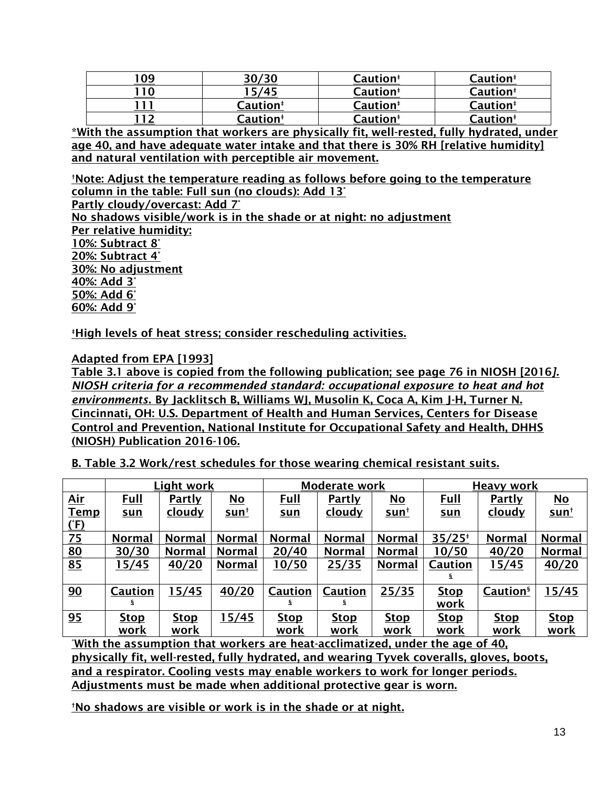|    | 30/30                | Caution <sup>#</sup> | Caution <sup>#</sup> |
|----|----------------------|----------------------|----------------------|
| 10 | 15/45                | Caution <sup>#</sup> | Caution <sup>#</sup> |
|    | Caution <sup>#</sup> | <b>Caution</b> #     | Caution <sup>#</sup> |
|    | Caution <sup>#</sup> | Caution <sup>#</sup> | Caution <sup>#</sup> |

\*With the assumption that workers are physically fit, well-rested, fully hydrated, under age 40, and have adequate water intake and that there is 30% RH [relative humidity] and natural ventilation with perceptible air movement.

†Note: Adjust the temperature reading as follows before going to the temperature column in the table: Full sun (no clouds): Add 13°

Partly cloudy/overcast: Add 7°

No shadows visible/work is in the shade or at night: no adjustment Per relative humidity: 10%: Subtract 8° 20%: Subtract 4° 30%: No adjustment 40%: Add 3° 50%: Add 6° 60%: Add 9°

‡High levels of heat stress; consider rescheduling activities.

Adapted from EPA [1993]

Table 3.1 above is copied from the following publication; see page 76 in NIOSH [2016*]. NIOSH criteria for a recommended standard: occupational exposure to heat and hot environments.* By Jacklitsch B, Williams WJ, Musolin K, Coca A, Kim J-H, Turner N. Cincinnati, OH: U.S. Department of Health and Human Services, Centers for Disease Control and Prevention, National Institute for Occupational Safety and Health, DHHS (NIOSH) Publication 2016-106.

B. Table 3.2 Work/rest schedules for those wearing chemical resistant suits.

|             |                | Light work    |                           |                | Moderate work  |                           |             | <b>Heavy work</b>    |                           |
|-------------|----------------|---------------|---------------------------|----------------|----------------|---------------------------|-------------|----------------------|---------------------------|
| <u>Air</u>  | <u>Full</u>    | <u>Partly</u> | $\underline{\mathsf{No}}$ | <u>Full</u>    | Partly         | $\underline{\mathsf{No}}$ | <u>Full</u> | <b>Partly</b>        | $\underline{\mathsf{No}}$ |
| <b>Temp</b> | <u>sun</u>     | <u>cloudy</u> | <u>sunt</u>               | <u>sun</u>     | <u>cloudy</u>  | <u>sun†</u>               | <u>sun</u>  | <u>cloudy</u>        | <u>sunt</u>               |
| <u>(F)</u>  |                |               |                           |                |                |                           |             |                      |                           |
| Z5          | <b>Normal</b>  | <b>Normal</b> | <b>Normal</b>             | Normal         | <b>Normal</b>  | <b>Normal</b>             | $35/25*$    | <b>Normal</b>        | <b>Normal</b>             |
| 80          | 30/30          | <b>Normal</b> | <b>Normal</b>             | 20/40          | <b>Normal</b>  | <b>Normal</b>             | 10/50       | 40/20                | <b>Normal</b>             |
| 85          | 15/45          | 40/20         | <b>Normal</b>             | 10/50          | 25/35          | <b>Normal</b>             | Caution     | 15/45                | 40/20                     |
|             |                |               |                           |                |                |                           | s           |                      |                           |
| 90          | <b>Caution</b> | 15/45         | 40/20                     | <b>Caution</b> | <b>Caution</b> | 25/35                     | <b>Stop</b> | Caution <sup>§</sup> | 15/45                     |
|             | S.             |               |                           | s              | s              |                           | work        |                      |                           |
| <u>95</u>   | <b>Stop</b>    | <b>Stop</b>   | 15/45                     | <b>Stop</b>    | <b>Stop</b>    | <b>Stop</b>               | <b>Stop</b> | <b>Stop</b>          | <b>Stop</b>               |
|             | work           | <u>work</u>   |                           | work           | <u>work</u>    | <u>work</u>               | <u>work</u> | <u>work</u>          | <u>work</u>               |

<u>\*With the assumption that workers are heat-acclimatized, under the age of 40,</u> physically fit, well-rested, fully hydrated, and wearing Tyvek coveralls, gloves, boots, and a respirator. Cooling vests may enable workers to work for longer periods. Adjustments must be made when additional protective gear is worn.

†No shadows are visible or work is in the shade or at night.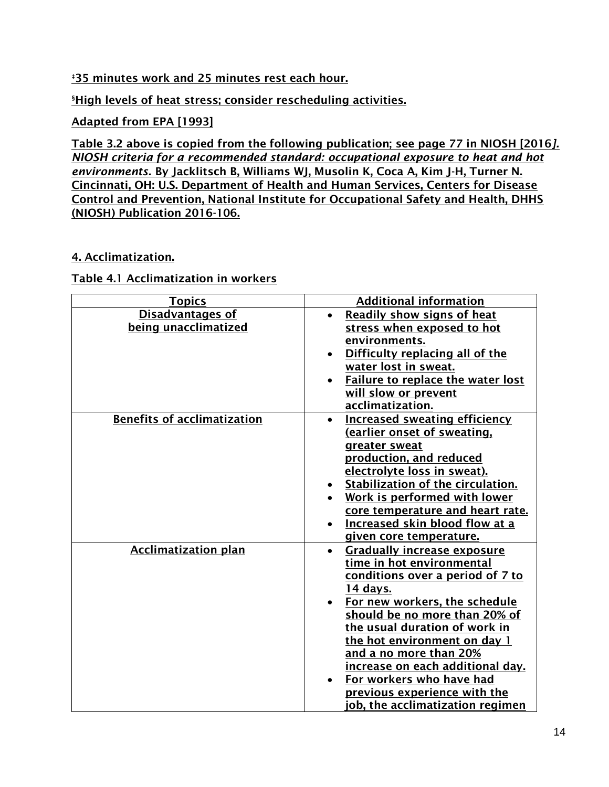## **<u>#35 minutes work and 25 minutes rest each hour.</u>**

**SHigh levels of heat stress; consider rescheduling activities.** 

## Adapted from EPA [1993]

Table 3.2 above is copied from the following publication; see page 77 in NIOSH [2016*]. NIOSH criteria for a recommended standard: occupational exposure to heat and hot environments.* By Jacklitsch B, Williams WJ, Musolin K, Coca A, Kim J-H, Turner N. Cincinnati, OH: U.S. Department of Health and Human Services, Centers for Disease Control and Prevention, National Institute for Occupational Safety and Health, DHHS (NIOSH) Publication 2016-106.

## 4. Acclimatization.

### Table 4.1 Acclimatization in workers

| <b>Topics</b>                      | <b>Additional information</b>                     |
|------------------------------------|---------------------------------------------------|
| <b>Disadvantages of</b>            | Readily show signs of heat                        |
| being unacclimatized               | stress when exposed to hot                        |
|                                    | environments.                                     |
|                                    | Difficulty replacing all of the<br>$\bullet$      |
|                                    | water lost in sweat.                              |
|                                    | <b>Failure to replace the water lost</b>          |
|                                    | will slow or prevent                              |
|                                    | acclimatization.                                  |
| <b>Benefits of acclimatization</b> | <b>Increased sweating efficiency</b><br>$\bullet$ |
|                                    | <u>(earlier onset of sweating,</u>                |
|                                    | greater sweat                                     |
|                                    | production, and reduced                           |
|                                    | electrolyte loss in sweat).                       |
|                                    | Stabilization of the circulation.                 |
|                                    | Work is performed with lower                      |
|                                    | core temperature and heart rate.                  |
|                                    | <b>Increased skin blood flow at a</b>             |
|                                    | given core temperature.                           |
| <b>Acclimatization plan</b>        | <b>Gradually increase exposure</b><br>$\bullet$   |
|                                    | time in hot environmental                         |
|                                    | conditions over a period of 7 to                  |
|                                    | 14 days.                                          |
|                                    | For new workers, the schedule                     |
|                                    | should be no more than 20% of                     |
|                                    | the usual duration of work in                     |
|                                    | the hot environment on day 1                      |
|                                    | and a no more than 20%                            |
|                                    | increase on each additional day.                  |
|                                    | For workers who have had                          |
|                                    | previous experience with the                      |
|                                    | ob, the acclimatization regimen                   |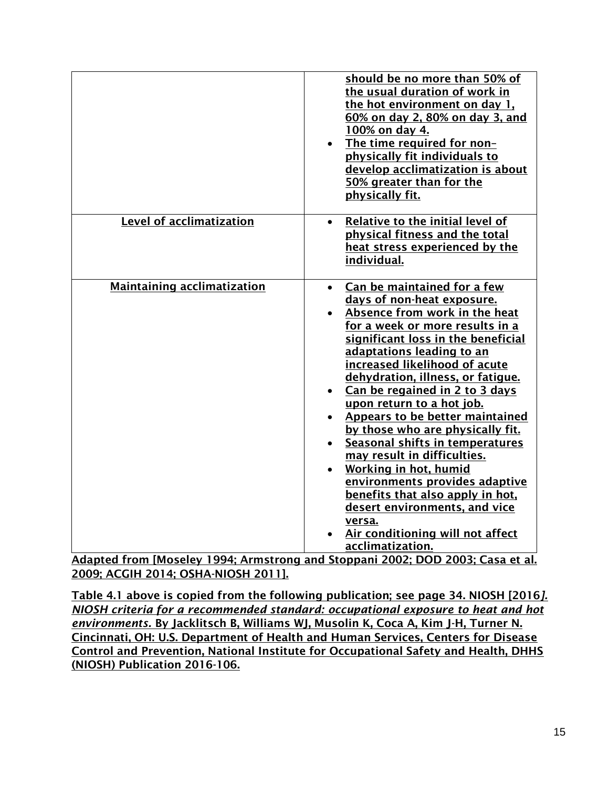|                                    | should be no more than 50% of<br>the usual duration of work in<br>the hot environment on day 1.<br>60% on day 2, 80% on day 3, and<br>100% on day 4.<br>The time required for non-<br>physically fit individuals to<br>develop acclimatization is about<br>50% greater than for the<br>physically fit.                                                                                                                                                                                                                                                                                                                                                                                               |
|------------------------------------|------------------------------------------------------------------------------------------------------------------------------------------------------------------------------------------------------------------------------------------------------------------------------------------------------------------------------------------------------------------------------------------------------------------------------------------------------------------------------------------------------------------------------------------------------------------------------------------------------------------------------------------------------------------------------------------------------|
| <b>Level of acclimatization</b>    | Relative to the initial level of<br>physical fitness and the total<br>heat stress experienced by the<br>individual.                                                                                                                                                                                                                                                                                                                                                                                                                                                                                                                                                                                  |
| <b>Maintaining acclimatization</b> | Can be maintained for a few<br>$\bullet$<br>days of non-heat exposure.<br>Absence from work in the heat<br>for a week or more results in a<br>significant loss in the beneficial<br>adaptations leading to an<br>increased likelihood of acute<br>dehydration, illness, or fatigue.<br>Can be regained in 2 to 3 days<br>upon return to a hot job.<br><b>Appears to be better maintained</b><br>by those who are physically fit.<br>Seasonal shifts in temperatures<br>may result in difficulties.<br>Working in hot, humid<br>environments provides adaptive<br>benefits that also apply in hot.<br>desert environments, and vice<br>versa.<br>Air conditioning will not affect<br>acclimatization. |

Adapted from [Moseley 1994; Armstrong and Stoppani 2002; DOD 2003; Casa et al. 2009; ACGIH 2014; OSHA-NIOSH 2011].

Table 4.1 above is copied from the following publication; see page 34. NIOSH [2016*]. NIOSH criteria for a recommended standard: occupational exposure to heat and hot environments.* By Jacklitsch B, Williams WJ, Musolin K, Coca A, Kim J-H, Turner N. Cincinnati, OH: U.S. Department of Health and Human Services, Centers for Disease Control and Prevention, National Institute for Occupational Safety and Health, DHHS (NIOSH) Publication 2016-106.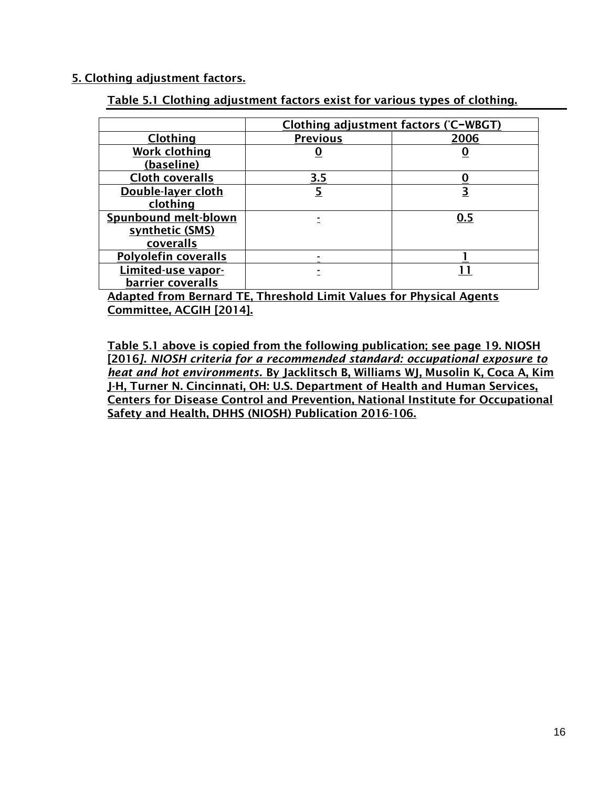### 5. Clothing adjustment factors.

| Table 5.1 Clothing adjustment factors exist for various types of clothing. |  |
|----------------------------------------------------------------------------|--|
|----------------------------------------------------------------------------|--|

|                             | Clothing adjustment factors (°C-WBGT) |      |  |
|-----------------------------|---------------------------------------|------|--|
| <b>Clothing</b>             | <b>Previous</b>                       | 2006 |  |
| <b>Work clothing</b>        |                                       |      |  |
| (baseline)                  |                                       |      |  |
| <b>Cloth coveralls</b>      | 3.5                                   |      |  |
| Double-layer cloth          |                                       | 3    |  |
| clothing                    |                                       |      |  |
| <b>Spunbound melt-blown</b> |                                       | 0.5  |  |
| synthetic (SMS)             |                                       |      |  |
| coveralls                   |                                       |      |  |
| <b>Polyolefin coveralls</b> |                                       |      |  |
| Limited-use vapor-          |                                       |      |  |
| barrier coveralls           |                                       |      |  |

Adapted from Bernard TE, Threshold Limit Values for Physical Agents Committee, ACGIH [2014].

Table 5.1 above is copied from the following publication; see page 19. NIOSH [2016*]. NIOSH criteria for a recommended standard: occupational exposure to heat and hot environments.* By Jacklitsch B, Williams WJ, Musolin K, Coca A, Kim J-H, Turner N. Cincinnati, OH: U.S. Department of Health and Human Services, Centers for Disease Control and Prevention, National Institute for Occupational Safety and Health, DHHS (NIOSH) Publication 2016-106.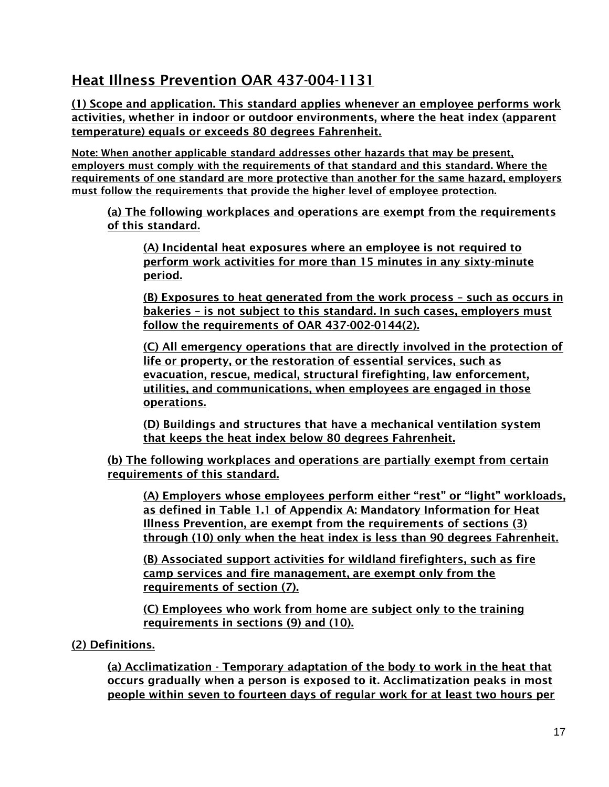## Heat Illness Prevention OAR 437-004-1131

(1) Scope and application. This standard applies whenever an employee performs work activities, whether in indoor or outdoor environments, where the heat index (apparent temperature) equals or exceeds 80 degrees Fahrenheit.

Note: When another applicable standard addresses other hazards that may be present, employers must comply with the requirements of that standard and this standard. Where the requirements of one standard are more protective than another for the same hazard, employers must follow the requirements that provide the higher level of employee protection.

(a) The following workplaces and operations are exempt from the requirements of this standard.

(A) Incidental heat exposures where an employee is not required to perform work activities for more than 15 minutes in any sixty-minute period.

(B) Exposures to heat generated from the work process – such as occurs in bakeries – is not subject to this standard. In such cases, employers must follow the requirements of OAR 437-002-0144(2).

(C) All emergency operations that are directly involved in the protection of life or property, or the restoration of essential services, such as evacuation, rescue, medical, structural firefighting, law enforcement, utilities, and communications, when employees are engaged in those operations.

(D) Buildings and structures that have a mechanical ventilation system that keeps the heat index below 80 degrees Fahrenheit.

(b) The following workplaces and operations are partially exempt from certain requirements of this standard.

(A) Employers whose employees perform either "rest" or "light" workloads, as defined in Table 1.1 of Appendix A: Mandatory Information for Heat Illness Prevention, are exempt from the requirements of sections (3) through (10) only when the heat index is less than 90 degrees Fahrenheit.

(B) Associated support activities for wildland firefighters, such as fire camp services and fire management, are exempt only from the requirements of section (7).

(C) Employees who work from home are subject only to the training requirements in sections (9) and (10).

## (2) Definitions.

(a) Acclimatization - Temporary adaptation of the body to work in the heat that occurs gradually when a person is exposed to it. Acclimatization peaks in most people within seven to fourteen days of regular work for at least two hours per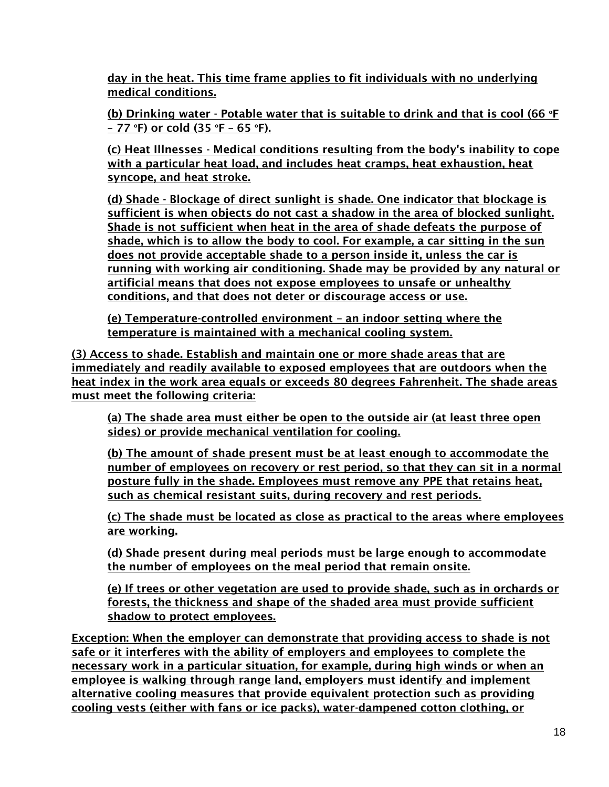day in the heat. This time frame applies to fit individuals with no underlying medical conditions.

(b) Drinking water - Potable water that is suitable to drink and that is cool (66  $\textdegree$ F) – 77 °F) or cold (35 °F – 65 °F).

(c) Heat Illnesses - Medical conditions resulting from the body's inability to cope with a particular heat load, and includes heat cramps, heat exhaustion, heat syncope, and heat stroke.

(d) Shade - Blockage of direct sunlight is shade. One indicator that blockage is sufficient is when objects do not cast a shadow in the area of blocked sunlight. Shade is not sufficient when heat in the area of shade defeats the purpose of shade, which is to allow the body to cool. For example, a car sitting in the sun does not provide acceptable shade to a person inside it, unless the car is running with working air conditioning. Shade may be provided by any natural or artificial means that does not expose employees to unsafe or unhealthy conditions, and that does not deter or discourage access or use.

(e) Temperature-controlled environment – an indoor setting where the temperature is maintained with a mechanical cooling system.

(3) Access to shade. Establish and maintain one or more shade areas that are immediately and readily available to exposed employees that are outdoors when the heat index in the work area equals or exceeds 80 degrees Fahrenheit. The shade areas must meet the following criteria:

(a) The shade area must either be open to the outside air (at least three open sides) or provide mechanical ventilation for cooling.

(b) The amount of shade present must be at least enough to accommodate the number of employees on recovery or rest period, so that they can sit in a normal posture fully in the shade. Employees must remove any PPE that retains heat, such as chemical resistant suits, during recovery and rest periods.

(c) The shade must be located as close as practical to the areas where employees are working.

(d) Shade present during meal periods must be large enough to accommodate the number of employees on the meal period that remain onsite.

(e) If trees or other vegetation are used to provide shade, such as in orchards or forests, the thickness and shape of the shaded area must provide sufficient shadow to protect employees.

Exception: When the employer can demonstrate that providing access to shade is not safe or it interferes with the ability of employers and employees to complete the necessary work in a particular situation, for example, during high winds or when an employee is walking through range land, employers must identify and implement alternative cooling measures that provide equivalent protection such as providing cooling vests (either with fans or ice packs), water-dampened cotton clothing, or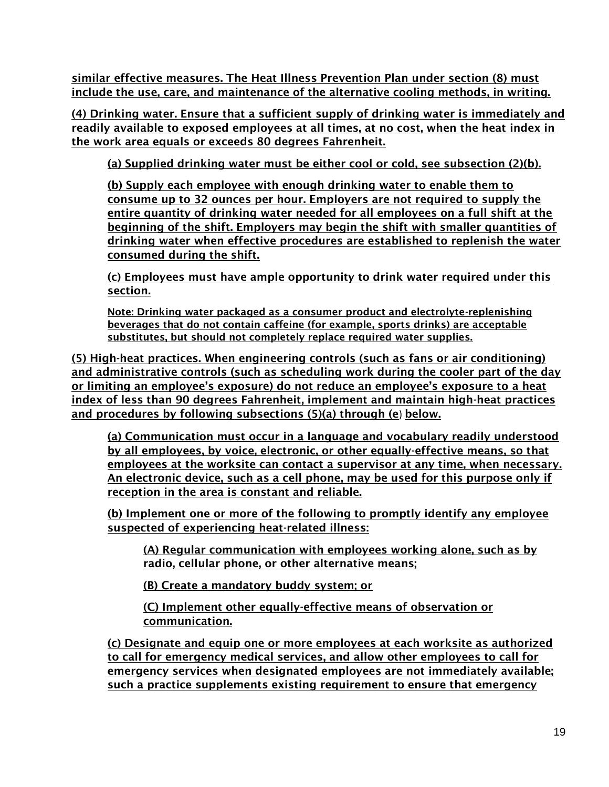similar effective measures. The Heat Illness Prevention Plan under section (8) must include the use, care, and maintenance of the alternative cooling methods, in writing.

(4) Drinking water. Ensure that a sufficient supply of drinking water is immediately and readily available to exposed employees at all times, at no cost, when the heat index in the work area equals or exceeds 80 degrees Fahrenheit.

(a) Supplied drinking water must be either cool or cold, see subsection (2)(b).

(b) Supply each employee with enough drinking water to enable them to consume up to 32 ounces per hour. Employers are not required to supply the entire quantity of drinking water needed for all employees on a full shift at the beginning of the shift. Employers may begin the shift with smaller quantities of drinking water when effective procedures are established to replenish the water consumed during the shift.

(c) Employees must have ample opportunity to drink water required under this section.

Note: Drinking water packaged as a consumer product and electrolyte-replenishing beverages that do not contain caffeine (for example, sports drinks) are acceptable substitutes, but should not completely replace required water supplies.

(5) High-heat practices. When engineering controls (such as fans or air conditioning) and administrative controls (such as scheduling work during the cooler part of the day or limiting an employee's exposure) do not reduce an employee's exposure to a heat index of less than 90 degrees Fahrenheit, implement and maintain high-heat practices and procedures by following subsections (5)(a) through (e) below.

(a) Communication must occur in a language and vocabulary readily understood by all employees, by voice, electronic, or other equally-effective means, so that employees at the worksite can contact a supervisor at any time, when necessary. An electronic device, such as a cell phone, may be used for this purpose only if reception in the area is constant and reliable.

(b) Implement one or more of the following to promptly identify any employee suspected of experiencing heat-related illness:

(A) Regular communication with employees working alone, such as by radio, cellular phone, or other alternative means;

(B) Create a mandatory buddy system; or

(C) Implement other equally-effective means of observation or communication.

(c) Designate and equip one or more employees at each worksite as authorized to call for emergency medical services, and allow other employees to call for emergency services when designated employees are not immediately available; such a practice supplements existing requirement to ensure that emergency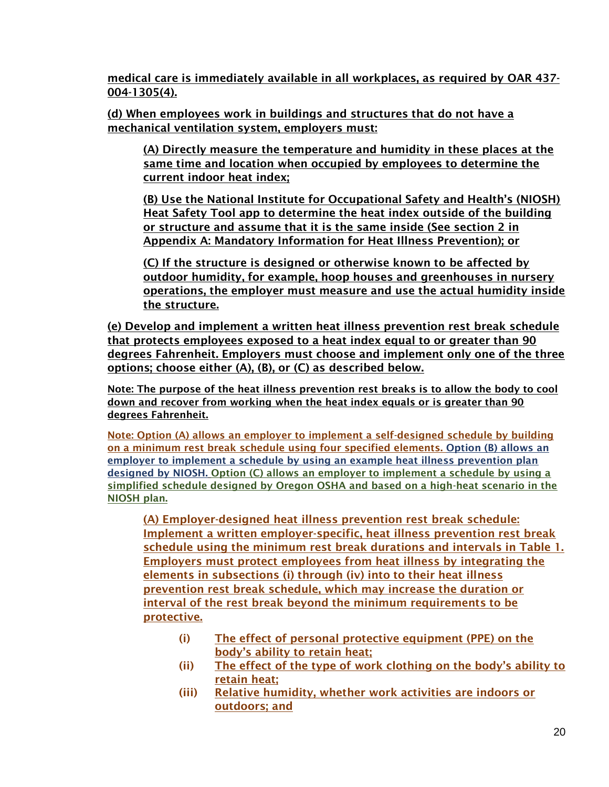medical care is immediately available in all workplaces, as required by OAR 437- 004-1305(4).

(d) When employees work in buildings and structures that do not have a mechanical ventilation system, employers must:

(A) Directly measure the temperature and humidity in these places at the same time and location when occupied by employees to determine the current indoor heat index;

(B) Use the National Institute for Occupational Safety and Health's (NIOSH) Heat Safety Tool app to determine the heat index outside of the building or structure and assume that it is the same inside (See section 2 in Appendix A: Mandatory Information for Heat Illness Prevention); or

(C) If the structure is designed or otherwise known to be affected by outdoor humidity, for example, hoop houses and greenhouses in nursery operations, the employer must measure and use the actual humidity inside the structure.

(e) Develop and implement a written heat illness prevention rest break schedule that protects employees exposed to a heat index equal to or greater than 90 degrees Fahrenheit. Employers must choose and implement only one of the three options; choose either (A), (B), or (C) as described below.

Note: The purpose of the heat illness prevention rest breaks is to allow the body to cool down and recover from working when the heat index equals or is greater than 90 degrees Fahrenheit.

Note: Option (A) allows an employer to implement a self-designed schedule by building on a minimum rest break schedule using four specified elements. Option (B) allows an employer to implement a schedule by using an example heat illness prevention plan designed by NIOSH. Option (C) allows an employer to implement a schedule by using a simplified schedule designed by Oregon OSHA and based on a high-heat scenario in the NIOSH plan.

(A) Employer-designed heat illness prevention rest break schedule: Implement a written employer-specific, heat illness prevention rest break schedule using the minimum rest break durations and intervals in Table 1. Employers must protect employees from heat illness by integrating the elements in subsections (i) through (iv) into to their heat illness prevention rest break schedule, which may increase the duration or interval of the rest break beyond the minimum requirements to be protective.

- (i) The effect of personal protective equipment (PPE) on the body's ability to retain heat;
- (ii) The effect of the type of work clothing on the body's ability to retain heat;
- (iii) Relative humidity, whether work activities are indoors or outdoors; and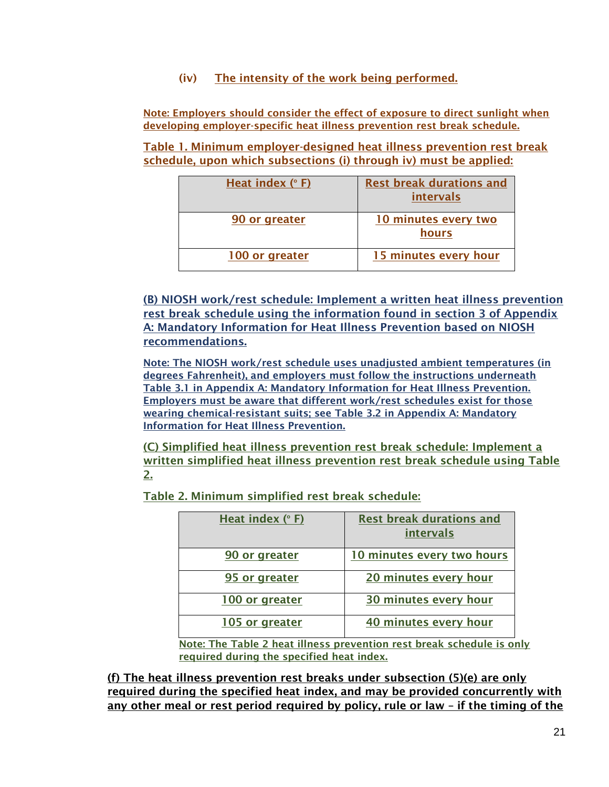(iv) The intensity of the work being performed.

Note: Employers should consider the effect of exposure to direct sunlight when developing employer-specific heat illness prevention rest break schedule.

Table 1. Minimum employer-designed heat illness prevention rest break schedule, upon which subsections (i) through iv) must be applied:

| Heat index (°F) | <b>Rest break durations and</b><br>intervals |
|-----------------|----------------------------------------------|
| 90 or greater   | 10 minutes every two<br>hours                |
| 100 or greater  | 15 minutes every hour                        |

(B) NIOSH work/rest schedule: Implement a written heat illness prevention rest break schedule using the information found in section 3 of Appendix A: Mandatory Information for Heat Illness Prevention based on NIOSH recommendations.

Note: The NIOSH work/rest schedule uses unadjusted ambient temperatures (in degrees Fahrenheit), and employers must follow the instructions underneath Table 3.1 in Appendix A: Mandatory Information for Heat Illness Prevention. Employers must be aware that different work/rest schedules exist for those wearing chemical-resistant suits; see Table 3.2 in Appendix A: Mandatory Information for Heat Illness Prevention.

(C) Simplified heat illness prevention rest break schedule: Implement a written simplified heat illness prevention rest break schedule using Table 2.

Table 2. Minimum simplified rest break schedule:

| Heat index $(° F)$ | <b>Rest break durations and</b><br>intervals |
|--------------------|----------------------------------------------|
| 90 or greater      | 10 minutes every two hours                   |
| 95 or greater      | 20 minutes every hour                        |
| 100 or greater     | 30 minutes every hour                        |
| 105 or greater     | 40 minutes every hour                        |

Note: The Table 2 heat illness prevention rest break schedule is only required during the specified heat index.

(f) The heat illness prevention rest breaks under subsection (5)(e) are only required during the specified heat index, and may be provided concurrently with any other meal or rest period required by policy, rule or law – if the timing of the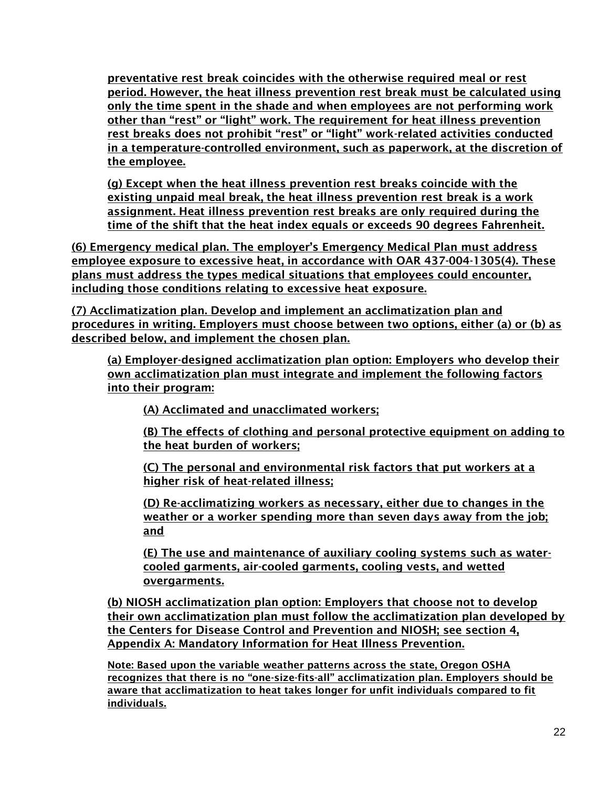preventative rest break coincides with the otherwise required meal or rest period. However, the heat illness prevention rest break must be calculated using only the time spent in the shade and when employees are not performing work other than "rest" or "light" work. The requirement for heat illness prevention rest breaks does not prohibit "rest" or "light" work-related activities conducted in a temperature-controlled environment, such as paperwork, at the discretion of the employee.

(g) Except when the heat illness prevention rest breaks coincide with the existing unpaid meal break, the heat illness prevention rest break is a work assignment. Heat illness prevention rest breaks are only required during the time of the shift that the heat index equals or exceeds 90 degrees Fahrenheit.

(6) Emergency medical plan. The employer's Emergency Medical Plan must address employee exposure to excessive heat, in accordance with OAR 437-004-1305(4). These plans must address the types medical situations that employees could encounter, including those conditions relating to excessive heat exposure.

(7) Acclimatization plan. Develop and implement an acclimatization plan and procedures in writing. Employers must choose between two options, either (a) or (b) as described below, and implement the chosen plan.

(a) Employer-designed acclimatization plan option: Employers who develop their own acclimatization plan must integrate and implement the following factors into their program:

(A) Acclimated and unacclimated workers;

(B) The effects of clothing and personal protective equipment on adding to the heat burden of workers;

(C) The personal and environmental risk factors that put workers at a higher risk of heat-related illness;

(D) Re-acclimatizing workers as necessary, either due to changes in the weather or a worker spending more than seven days away from the job; and

(E) The use and maintenance of auxiliary cooling systems such as watercooled garments, air-cooled garments, cooling vests, and wetted overgarments.

(b) NIOSH acclimatization plan option: Employers that choose not to develop their own acclimatization plan must follow the acclimatization plan developed by the Centers for Disease Control and Prevention and NIOSH; see section 4, Appendix A: Mandatory Information for Heat Illness Prevention.

Note: Based upon the variable weather patterns across the state, Oregon OSHA recognizes that there is no "one-size-fits-all" acclimatization plan. Employers should be aware that acclimatization to heat takes longer for unfit individuals compared to fit individuals.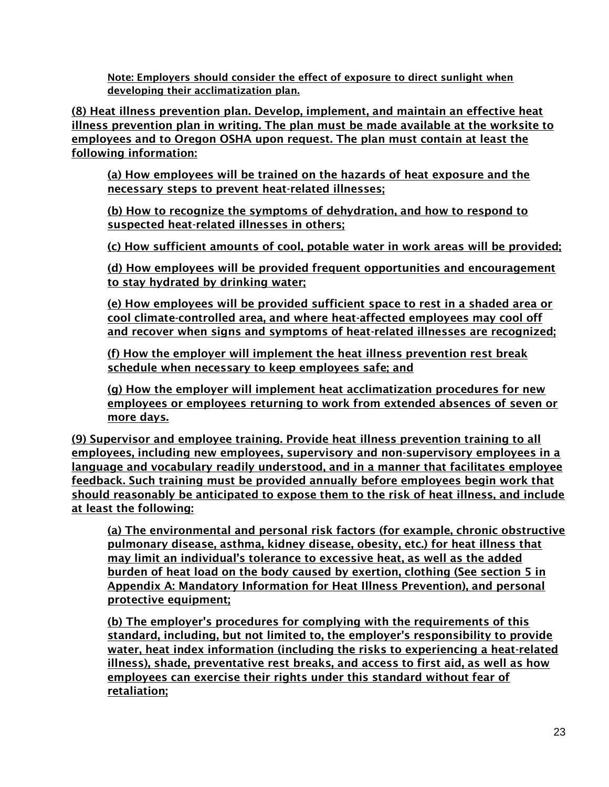Note: Employers should consider the effect of exposure to direct sunlight when developing their acclimatization plan.

(8) Heat illness prevention plan. Develop, implement, and maintain an effective heat illness prevention plan in writing. The plan must be made available at the worksite to employees and to Oregon OSHA upon request. The plan must contain at least the following information:

(a) How employees will be trained on the hazards of heat exposure and the necessary steps to prevent heat-related illnesses;

(b) How to recognize the symptoms of dehydration, and how to respond to suspected heat-related illnesses in others;

(c) How sufficient amounts of cool, potable water in work areas will be provided;

(d) How employees will be provided frequent opportunities and encouragement to stay hydrated by drinking water;

(e) How employees will be provided sufficient space to rest in a shaded area or cool climate-controlled area, and where heat-affected employees may cool off and recover when signs and symptoms of heat-related illnesses are recognized;

(f) How the employer will implement the heat illness prevention rest break schedule when necessary to keep employees safe; and

(g) How the employer will implement heat acclimatization procedures for new employees or employees returning to work from extended absences of seven or more days.

(9) Supervisor and employee training. Provide heat illness prevention training to all employees, including new employees, supervisory and non-supervisory employees in a language and vocabulary readily understood, and in a manner that facilitates employee feedback. Such training must be provided annually before employees begin work that should reasonably be anticipated to expose them to the risk of heat illness, and include at least the following:

(a) The environmental and personal risk factors (for example, chronic obstructive pulmonary disease, asthma, kidney disease, obesity, etc.) for heat illness that may limit an individual's tolerance to excessive heat, as well as the added burden of heat load on the body caused by exertion, clothing (See section 5 in Appendix A: Mandatory Information for Heat Illness Prevention), and personal protective equipment;

(b) The employer's procedures for complying with the requirements of this standard, including, but not limited to, the employer's responsibility to provide water, heat index information (including the risks to experiencing a heat-related illness), shade, preventative rest breaks, and access to first aid, as well as how employees can exercise their rights under this standard without fear of retaliation;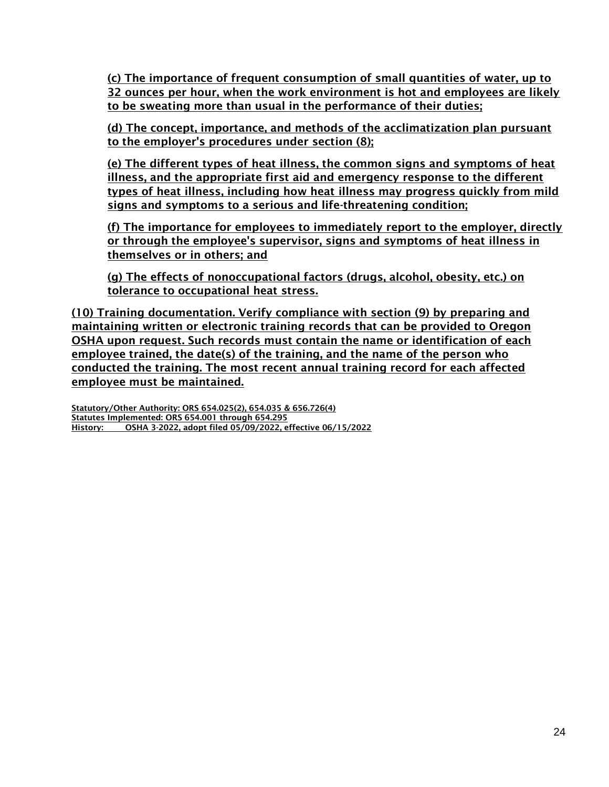(c) The importance of frequent consumption of small quantities of water, up to 32 ounces per hour, when the work environment is hot and employees are likely to be sweating more than usual in the performance of their duties;

(d) The concept, importance, and methods of the acclimatization plan pursuant to the employer's procedures under section (8);

(e) The different types of heat illness, the common signs and symptoms of heat illness, and the appropriate first aid and emergency response to the different types of heat illness, including how heat illness may progress quickly from mild signs and symptoms to a serious and life-threatening condition;

(f) The importance for employees to immediately report to the employer, directly or through the employee's supervisor, signs and symptoms of heat illness in themselves or in others; and

(g) The effects of nonoccupational factors (drugs, alcohol, obesity, etc.) on tolerance to occupational heat stress.

(10) Training documentation. Verify compliance with section (9) by preparing and maintaining written or electronic training records that can be provided to Oregon OSHA upon request. Such records must contain the name or identification of each employee trained, the date(s) of the training, and the name of the person who conducted the training. The most recent annual training record for each affected employee must be maintained.

Statutory/Other Authority: ORS 654.025(2), 654.035 & 656.726(4) Statutes Implemented: ORS 654.001 through 654.295 History: OSHA 3-2022, adopt filed 05/09/2022, effective 06/15/2022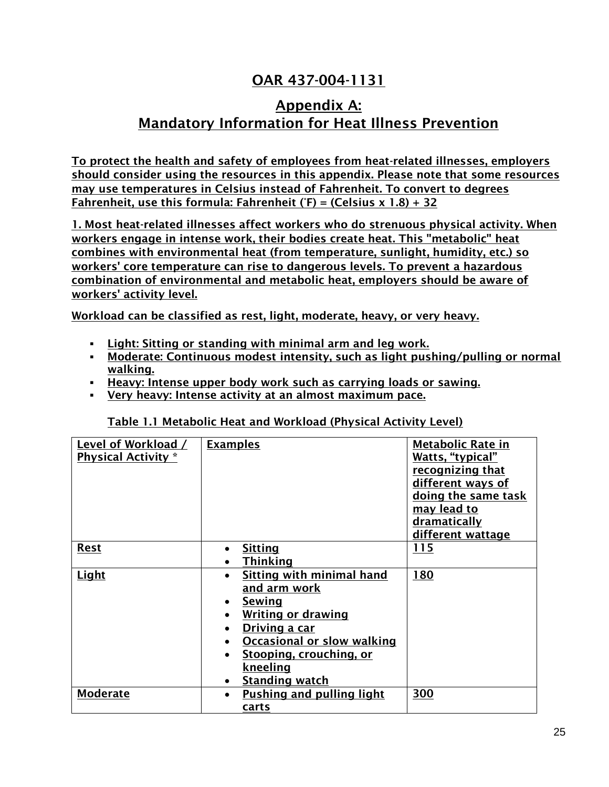# OAR 437-004-1131

## Appendix A: Mandatory Information for Heat Illness Prevention

To protect the health and safety of employees from heat-related illnesses, employers should consider using the resources in this appendix. Please note that some resources may use temperatures in Celsius instead of Fahrenheit. To convert to degrees Fahrenheit, use this formula: Fahrenheit ( $F$ ) = (Celsius x 1.8) + 32

1. Most heat-related illnesses affect workers who do strenuous physical activity. When workers engage in intense work, their bodies create heat. This "metabolic" heat combines with environmental heat (from temperature, sunlight, humidity, etc.) so workers' core temperature can rise to dangerous levels. To prevent a hazardous combination of environmental and metabolic heat, employers should be aware of workers' activity level.

Workload can be classified as rest, light, moderate, heavy, or very heavy.

- Light: Sitting or standing with minimal arm and leg work.
- **Moderate: Continuous modest intensity, such as light pushing/pulling or normal** walking.
- **EXECT:** Heavy: Intense upper body work such as carrying loads or sawing.
- Very heavy: Intense activity at an almost maximum pace.

| Level of Workload /        | <b>Examples</b>                               | <b>Metabolic Rate in</b> |
|----------------------------|-----------------------------------------------|--------------------------|
| <b>Physical Activity</b> * |                                               | Watts, "typical"         |
|                            |                                               | recognizing that         |
|                            |                                               | different ways of        |
|                            |                                               | doing the same task      |
|                            |                                               | <u>may lead to</u>       |
|                            |                                               | dramatically             |
|                            |                                               | different wattage        |
| <b>Rest</b>                | <b>Sitting</b>                                | 115                      |
|                            | <b>Thinking</b>                               |                          |
| Light                      | Sitting with minimal hand                     | 180                      |
|                            | <u>and arm work</u>                           |                          |
|                            | Sewing                                        |                          |
|                            | <b>Writing or drawing</b>                     |                          |
|                            | Driving a car                                 |                          |
|                            | <b>Occasional or slow walking</b>             |                          |
|                            | <b>Stooping, crouching, or</b>                |                          |
|                            | <u>kneeling</u>                               |                          |
|                            | <b>Standing watch</b>                         |                          |
| <b>Moderate</b>            | <b>Pushing and pulling light</b><br>$\bullet$ | 300                      |
|                            | carts                                         |                          |
|                            |                                               |                          |

Table 1.1 Metabolic Heat and Workload (Physical Activity Level)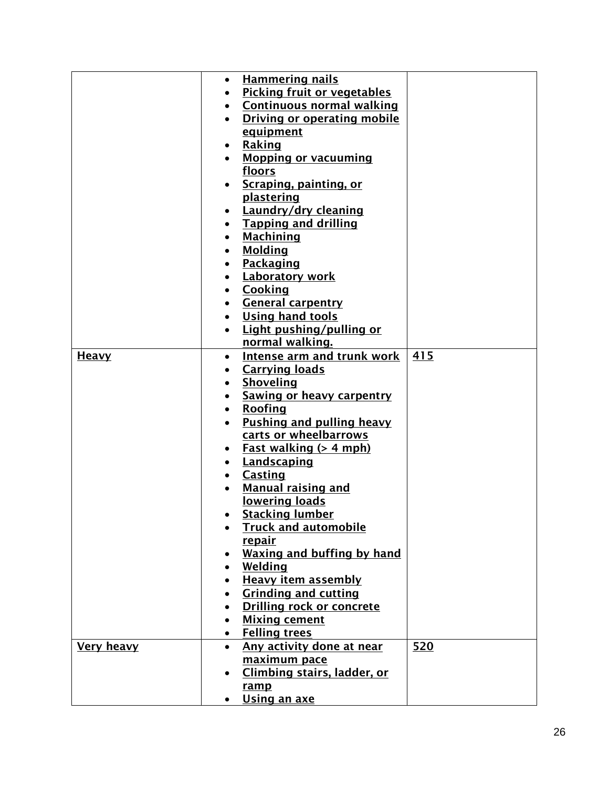|                   | $\bullet$ | <b>Hammering nails</b>             |     |
|-------------------|-----------|------------------------------------|-----|
|                   |           | <b>Picking fruit or vegetables</b> |     |
|                   |           | <b>Continuous normal walking</b>   |     |
|                   |           | <b>Driving or operating mobile</b> |     |
|                   |           | equipment                          |     |
|                   |           | Raking                             |     |
|                   |           | <b>Mopping or vacuuming</b>        |     |
|                   |           | floors                             |     |
|                   |           | Scraping, painting, or             |     |
|                   |           | plastering                         |     |
|                   |           | Laundry/dry cleaning               |     |
|                   |           | <b>Tapping and drilling</b>        |     |
|                   |           | <b>Machining</b>                   |     |
|                   |           | <b>Molding</b>                     |     |
|                   |           | Packaging                          |     |
|                   |           | <b>Laboratory work</b>             |     |
|                   |           | Cooking                            |     |
|                   |           | <b>General carpentry</b>           |     |
|                   |           | <b>Using hand tools</b>            |     |
|                   |           | Light pushing/pulling or           |     |
|                   |           | normal walking.                    |     |
| <b>Heavy</b>      | $\bullet$ | <b>Intense arm and trunk work</b>  | 415 |
|                   |           | <b>Carrying loads</b>              |     |
|                   |           | Shoveling                          |     |
|                   |           | <b>Sawing or heavy carpentry</b>   |     |
|                   |           | Roofing                            |     |
|                   |           | Pushing and pulling heavy          |     |
|                   |           | carts or wheelbarrows              |     |
|                   |           | <u>Fast walking (&gt; 4 mph)</u>   |     |
|                   |           | Landscaping                        |     |
|                   |           | <b>Casting</b>                     |     |
|                   |           | <b>Manual raising and</b>          |     |
|                   |           | lowering loads                     |     |
|                   |           | <b>Stacking lumber</b>             |     |
|                   |           | <b>Truck and automobile</b>        |     |
|                   |           | <u>repair</u>                      |     |
|                   |           | <b>Waxing and buffing by hand</b>  |     |
|                   |           | Welding                            |     |
|                   |           | <b>Heavy item assembly</b>         |     |
|                   |           | <b>Grinding and cutting</b>        |     |
|                   |           | <b>Drilling rock or concrete</b>   |     |
|                   |           | <b>Mixing cement</b>               |     |
|                   | $\bullet$ | <b>Felling trees</b>               |     |
| <b>Very heavy</b> | $\bullet$ | Any activity done at near          | 520 |
|                   |           | maximum pace                       |     |
|                   |           | Climbing stairs, ladder, or        |     |
|                   |           | ramp                               |     |
|                   |           | Using an axe                       |     |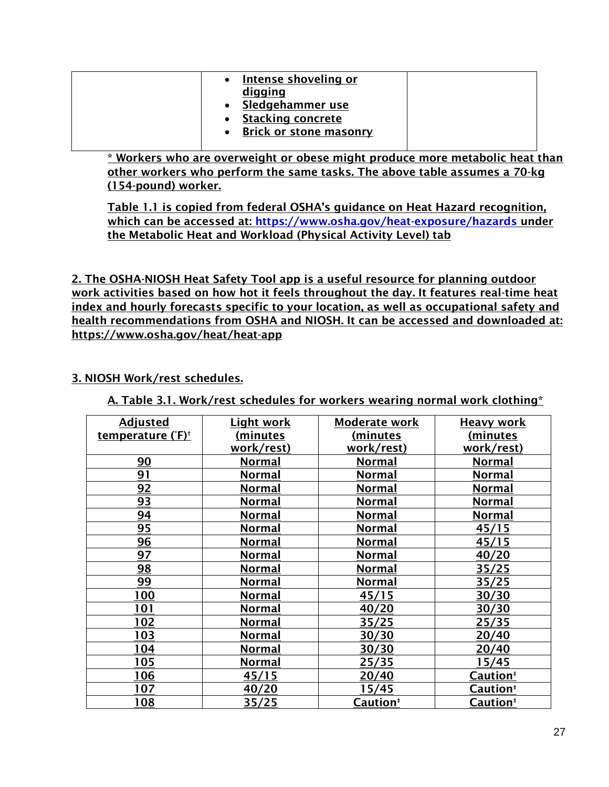| Intense shoveling or<br>digging<br>Sledgehammer use<br><b>Stacking concrete</b><br>Brick or stone masonry |  |
|-----------------------------------------------------------------------------------------------------------|--|
|-----------------------------------------------------------------------------------------------------------|--|

\* Workers who are overweight or obese might produce more metabolic heat than other workers who perform the same tasks. The above table assumes a 70-kg (154-pound) worker.

Table 1.1 is copied from federal OSHA's guidance on Heat Hazard recognition, which can be accessed at:<https://www.osha.gov/heat-exposure/hazards> under the Metabolic Heat and Workload (Physical Activity Level) tab

2. The OSHA-NIOSH Heat Safety Tool app is a useful resource for planning outdoor work activities based on how hot it feels throughout the day. It features real-time heat index and hourly forecasts specific to your location, as well as occupational safety and health recommendations from OSHA and NIOSH. It can be accessed and downloaded at: https://www.osha.gov/heat/heat-app

## 3. NIOSH Work/rest schedules.

A. Table 3.1. Work/rest schedules for workers wearing normal work clothing\*

| <b>Adjusted</b>               | <b>Light work</b> | Moderate work   | <b>Heavy work</b>    |
|-------------------------------|-------------------|-----------------|----------------------|
| temperature ('F) <sup>+</sup> | (minutes          | <u>(minutes</u> | (minutes             |
|                               | work/rest)        | work/rest)      | work/rest)           |
| 90                            | <b>Normal</b>     | <b>Normal</b>   | <b>Normal</b>        |
| 91                            | <b>Normal</b>     | <b>Normal</b>   | <b>Normal</b>        |
| 92                            | <b>Normal</b>     | <b>Normal</b>   | <b>Normal</b>        |
| 93                            | <b>Normal</b>     | <b>Normal</b>   | <b>Normal</b>        |
| 94                            | <b>Normal</b>     | <b>Normal</b>   | <b>Normal</b>        |
| 95                            | <b>Normal</b>     | <b>Normal</b>   | 45/15                |
| <u>96</u>                     | <b>Normal</b>     | <u>Normal</u>   | 45/15                |
| 97                            | <b>Normal</b>     | <b>Normal</b>   | 40/20                |
| 98                            | <b>Normal</b>     | <b>Normal</b>   | 35/25                |
| 99                            | <b>Normal</b>     | <b>Normal</b>   | 35/25                |
| 100                           | <b>Normal</b>     | 45/15           | 30/30                |
| 101                           | <b>Normal</b>     | 40/20           | 30/30                |
| <u> 102</u>                   | <b>Normal</b>     | 35/25           | 25/35                |
| <u> 103</u>                   | <b>Normal</b>     | 30/30           | 20/40                |
| 104                           | <b>Normal</b>     | 30/30           | 20/40                |
| 105                           | <b>Normal</b>     | <u>25/35</u>    | 15/45                |
| 106                           | 45/15             | 20/40           | Caution <sup>#</sup> |
| 107                           | 40/20             | 15/45           | Caution <sup>#</sup> |
| 108                           | 35/25             | Caution‡        | Caution <sup>#</sup> |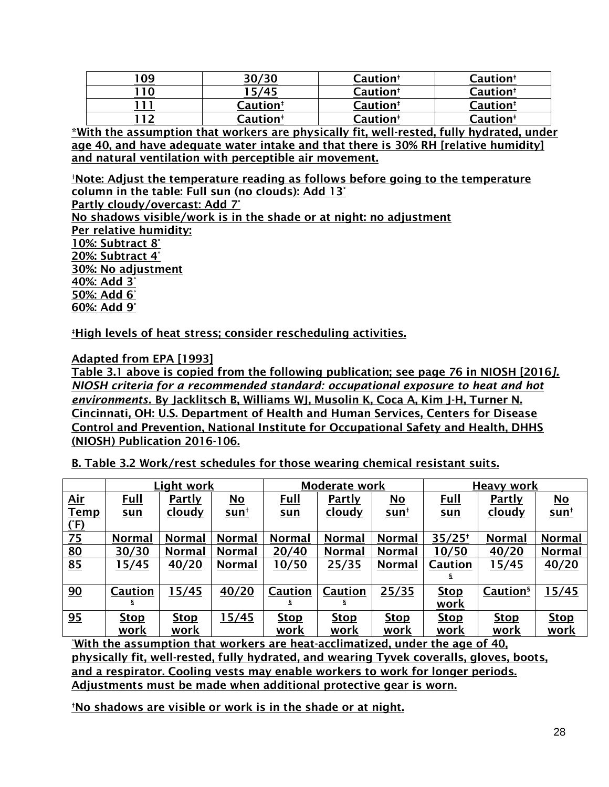|    | 30/30                | Caution <sup>#</sup> | Caution <sup>#</sup> |
|----|----------------------|----------------------|----------------------|
| 10 | 15/45                | Caution <sup>#</sup> | Caution <sup>#</sup> |
|    | Caution <sup>#</sup> | <b>Caution</b> #     | Caution <sup>#</sup> |
|    | Caution <sup>#</sup> | Caution <sup>#</sup> | Caution <sup>#</sup> |

\*With the assumption that workers are physically fit, well-rested, fully hydrated, under age 40, and have adequate water intake and that there is 30% RH [relative humidity] and natural ventilation with perceptible air movement.

†Note: Adjust the temperature reading as follows before going to the temperature column in the table: Full sun (no clouds): Add 13°

Partly cloudy/overcast: Add 7°

No shadows visible/work is in the shade or at night: no adjustment Per relative humidity: 10%: Subtract 8° 20%: Subtract 4° 30%: No adjustment 40%: Add 3° 50%: Add 6° 60%: Add 9°

‡High levels of heat stress; consider rescheduling activities.

Adapted from EPA [1993]

Table 3.1 above is copied from the following publication; see page 76 in NIOSH [2016*]. NIOSH criteria for a recommended standard: occupational exposure to heat and hot environments.* By Jacklitsch B, Williams WJ, Musolin K, Coca A, Kim J-H, Turner N. Cincinnati, OH: U.S. Department of Health and Human Services, Centers for Disease Control and Prevention, National Institute for Occupational Safety and Health, DHHS (NIOSH) Publication 2016-106.

B. Table 3.2 Work/rest schedules for those wearing chemical resistant suits.

|             |                | Light work    |                           |                | Moderate work |                           |             | <b>Heavy work</b>    |               |
|-------------|----------------|---------------|---------------------------|----------------|---------------|---------------------------|-------------|----------------------|---------------|
| <u>Air</u>  | <b>Full</b>    | <u>Partly</u> | $\underline{\mathsf{No}}$ | <u>Full</u>    | <u>Partly</u> | $\underline{\mathsf{No}}$ | <u>Full</u> | <b>Partly</b>        | $No$          |
| <b>Temp</b> | <u>sun</u>     | cloudy        | <u>sunt</u>               | <u>sun</u>     | cloudy        | <u>sunt</u>               | <u>sun</u>  | <u>cloudy</u>        | <u>sunt</u>   |
| (F)         |                |               |                           |                |               |                           |             |                      |               |
| Z5          | <b>Normal</b>  | <b>Normal</b> | <b>Normal</b>             | <b>Normal</b>  | <b>Normal</b> | <b>Normal</b>             | $35/25*$    | <b>Normal</b>        | <b>Normal</b> |
| 80          | 30/30          | <b>Normal</b> | <b>Normal</b>             | 20/40          | <b>Normal</b> | <b>Normal</b>             | 10/50       | 40/20                | <b>Normal</b> |
| 85          | 15/45          | 40/20         | <b>Normal</b>             | 10/50          | 25/35         | <b>Normal</b>             | Caution     | 15/45                | 40/20         |
|             |                |               |                           |                |               |                           | s           |                      |               |
| 90          | <b>Caution</b> | 15/45         | 40/20                     | <b>Caution</b> | Caution       | 25/35                     | <b>Stop</b> | Caution <sup>§</sup> | 15/45         |
|             | ş              |               |                           | S              | s.            |                           | work        |                      |               |
| 95          | <b>Stop</b>    | <b>Stop</b>   | 15/45                     | <b>Stop</b>    | <b>Stop</b>   | <b>Stop</b>               | <b>Stop</b> | <b>Stop</b>          | <b>Stop</b>   |
|             | work           | <u>work</u>   |                           | work           | <u>work</u>   | <u>work</u>               | <u>work</u> | <u>work</u>          | <u>work</u>   |

<u>\*With the assumption that workers are heat-acclimatized, under the age of 40,</u> physically fit, well-rested, fully hydrated, and wearing Tyvek coveralls, gloves, boots, and a respirator. Cooling vests may enable workers to work for longer periods. Adjustments must be made when additional protective gear is worn.

†No shadows are visible or work is in the shade or at night.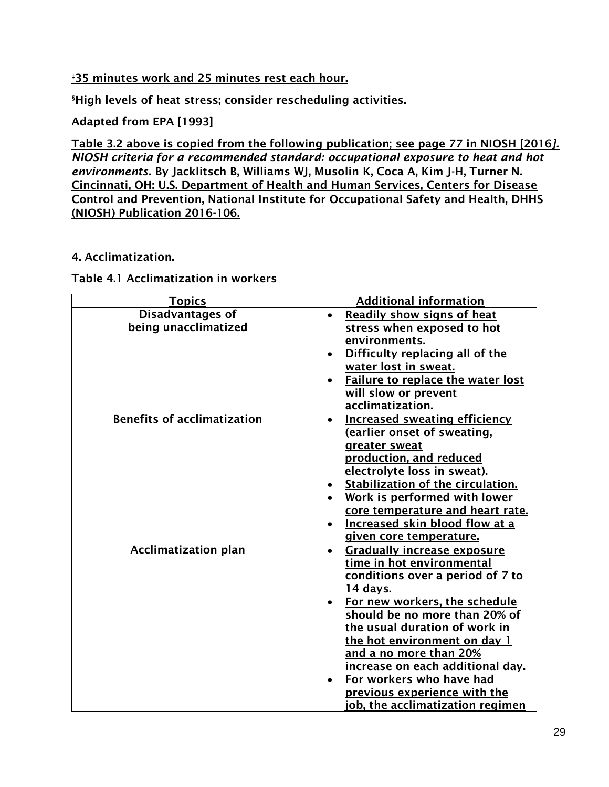## **<u>#35 minutes work and 25 minutes rest each hour.</u>**

**SHigh levels of heat stress; consider rescheduling activities.** 

## Adapted from EPA [1993]

Table 3.2 above is copied from the following publication; see page 77 in NIOSH [2016*]. NIOSH criteria for a recommended standard: occupational exposure to heat and hot environments.* By Jacklitsch B, Williams WJ, Musolin K, Coca A, Kim J-H, Turner N. Cincinnati, OH: U.S. Department of Health and Human Services, Centers for Disease Control and Prevention, National Institute for Occupational Safety and Health, DHHS (NIOSH) Publication 2016-106.

## 4. Acclimatization.

### Table 4.1 Acclimatization in workers

| <b>Topics</b>                      | <b>Additional information</b>                   |
|------------------------------------|-------------------------------------------------|
| <b>Disadvantages of</b>            | Readily show signs of heat                      |
| being unacclimatized               | stress when exposed to hot                      |
|                                    | environments.                                   |
|                                    | Difficulty replacing all of the                 |
|                                    | water lost in sweat.                            |
|                                    | Failure to replace the water lost               |
|                                    | will slow or prevent                            |
|                                    | acclimatization.                                |
| <b>Benefits of acclimatization</b> | <b>Increased sweating efficiency</b>            |
|                                    | <u>(earlier onset of sweating,</u>              |
|                                    | greater sweat                                   |
|                                    | production, and reduced                         |
|                                    | electrolyte loss in sweat).                     |
|                                    | Stabilization of the circulation.               |
|                                    | Work is performed with lower                    |
|                                    | core temperature and heart rate.                |
|                                    | Increased skin blood flow at a                  |
|                                    | given core temperature.                         |
| <b>Acclimatization plan</b>        | <b>Gradually increase exposure</b><br>$\bullet$ |
|                                    | time in hot environmental                       |
|                                    | conditions over a period of 7 to                |
|                                    | 14 days.                                        |
|                                    | For new workers, the schedule                   |
|                                    | should be no more than 20% of                   |
|                                    | the usual duration of work in                   |
|                                    | the hot environment on day 1                    |
|                                    | and a no more than 20%                          |
|                                    | increase on each additional day.                |
|                                    | For workers who have had                        |
|                                    | <u>previous experience with the </u>            |
|                                    | ob, the acclimatization regimen                 |
|                                    |                                                 |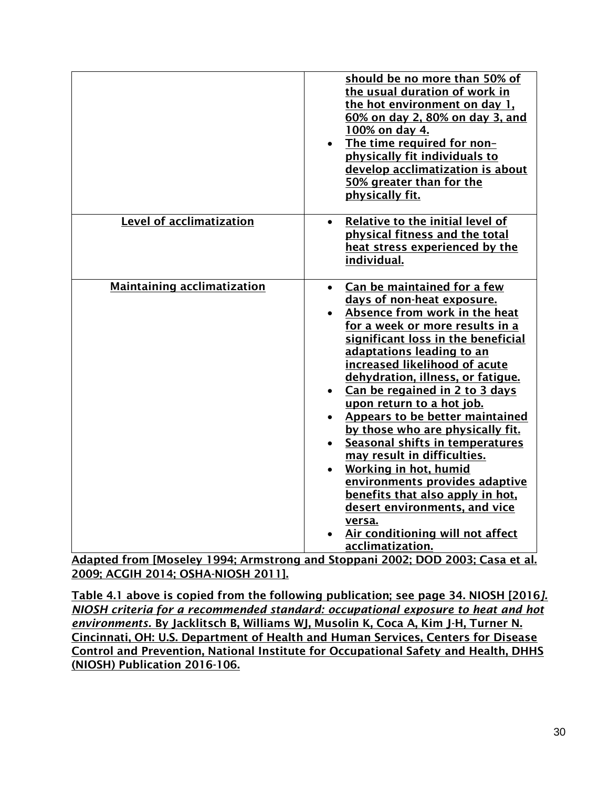|                                    | should be no more than 50% of<br>the usual duration of work in<br>the hot environment on day 1.<br>60% on day 2, 80% on day 3, and<br>100% on day 4.<br>The time required for non-<br>physically fit individuals to<br>develop acclimatization is about<br>50% greater than for the<br>physically fit.                                                                                                                                                                                                                                                                                                                                                                                                      |
|------------------------------------|-------------------------------------------------------------------------------------------------------------------------------------------------------------------------------------------------------------------------------------------------------------------------------------------------------------------------------------------------------------------------------------------------------------------------------------------------------------------------------------------------------------------------------------------------------------------------------------------------------------------------------------------------------------------------------------------------------------|
| Level of acclimatization           | Relative to the initial level of<br>$\bullet$<br>physical fitness and the total<br>heat stress experienced by the<br>individual.                                                                                                                                                                                                                                                                                                                                                                                                                                                                                                                                                                            |
| <b>Maintaining acclimatization</b> | Can be maintained for a few<br>$\bullet$<br>days of non-heat exposure.<br>Absence from work in the heat<br>for a week or more results in a<br>significant loss in the beneficial<br>adaptations leading to an<br>increased likelihood of acute<br>dehydration, illness, or fatigue.<br>Can be regained in 2 to 3 days<br>upon return to a hot job.<br><b>Appears to be better maintained</b><br>by those who are physically fit.<br>Seasonal shifts in temperatures<br>may result in difficulties.<br><b>Working in hot, humid</b><br>environments provides adaptive<br>benefits that also apply in hot,<br>desert environments, and vice<br>versa.<br>Air conditioning will not affect<br>acclimatization. |

Adapted from [Moseley 1994; Armstrong and Stoppani 2002; DOD 2003; Casa et al. 2009; ACGIH 2014; OSHA-NIOSH 2011].

Table 4.1 above is copied from the following publication; see page 34. NIOSH [2016*]. NIOSH criteria for a recommended standard: occupational exposure to heat and hot environments.* By Jacklitsch B, Williams WJ, Musolin K, Coca A, Kim J-H, Turner N. Cincinnati, OH: U.S. Department of Health and Human Services, Centers for Disease Control and Prevention, National Institute for Occupational Safety and Health, DHHS (NIOSH) Publication 2016-106.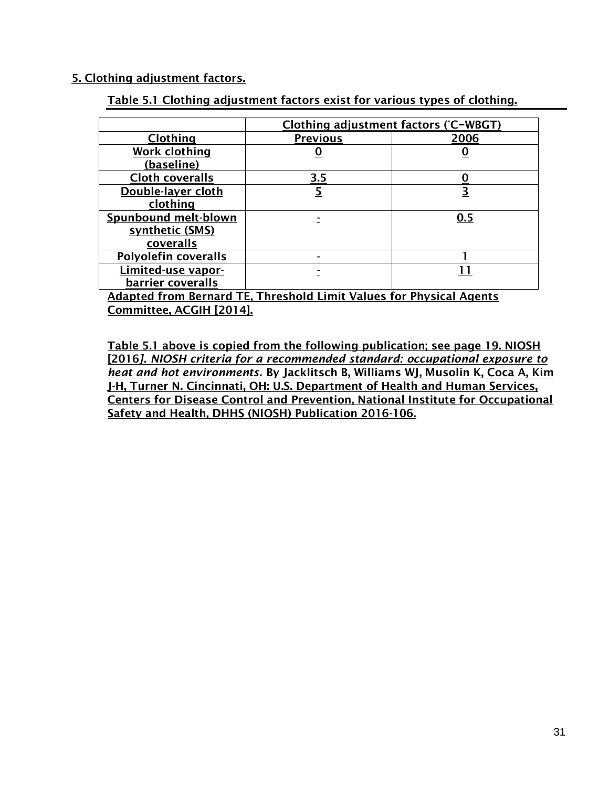### 5. Clothing adjustment factors.

| Table 5.1 Clothing adjustment factors exist for various types of clothing. |  |
|----------------------------------------------------------------------------|--|
|----------------------------------------------------------------------------|--|

|                             | Clothing adjustment factors (°C-WBGT) |          |  |
|-----------------------------|---------------------------------------|----------|--|
| <b>Clothing</b>             | <b>Previous</b>                       | 2006     |  |
| <b>Work clothing</b>        |                                       | <u>U</u> |  |
| (baseline)                  |                                       |          |  |
| <b>Cloth coveralls</b>      | 3.5                                   |          |  |
| Double-layer cloth          |                                       | <u>3</u> |  |
| clothing                    |                                       |          |  |
| <b>Spunbound melt-blown</b> |                                       | 0.5      |  |
| synthetic (SMS)             |                                       |          |  |
| coveralls                   |                                       |          |  |
| Polyolefin coveralls        |                                       |          |  |
| Limited-use vapor-          |                                       |          |  |
| barrier coveralls           |                                       |          |  |

Adapted from Bernard TE, Threshold Limit Values for Physical Agents Committee, ACGIH [2014].

Table 5.1 above is copied from the following publication; see page 19. NIOSH [2016*]. NIOSH criteria for a recommended standard: occupational exposure to heat and hot environments.* By Jacklitsch B, Williams WJ, Musolin K, Coca A, Kim J-H, Turner N. Cincinnati, OH: U.S. Department of Health and Human Services, Centers for Disease Control and Prevention, National Institute for Occupational Safety and Health, DHHS (NIOSH) Publication 2016-106.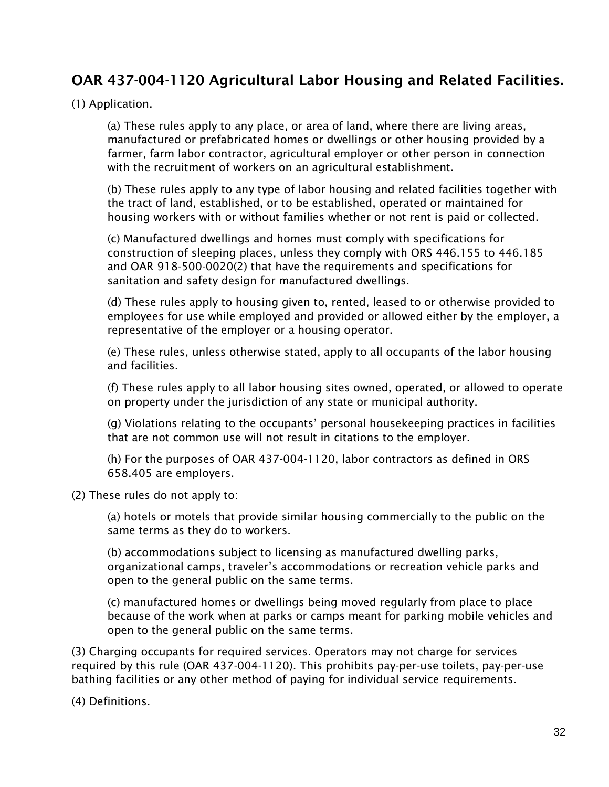## OAR 437-004-1120 Agricultural Labor Housing and Related Facilities.

### (1) Application.

(a) These rules apply to any place, or area of land, where there are living areas, manufactured or prefabricated homes or dwellings or other housing provided by a farmer, farm labor contractor, agricultural employer or other person in connection with the recruitment of workers on an agricultural establishment.

(b) These rules apply to any type of labor housing and related facilities together with the tract of land, established, or to be established, operated or maintained for housing workers with or without families whether or not rent is paid or collected.

(c) Manufactured dwellings and homes must comply with specifications for construction of sleeping places, unless they comply with ORS 446.155 to 446.185 and OAR 918-500-0020(2) that have the requirements and specifications for sanitation and safety design for manufactured dwellings.

(d) These rules apply to housing given to, rented, leased to or otherwise provided to employees for use while employed and provided or allowed either by the employer, a representative of the employer or a housing operator.

(e) These rules, unless otherwise stated, apply to all occupants of the labor housing and facilities.

(f) These rules apply to all labor housing sites owned, operated, or allowed to operate on property under the jurisdiction of any state or municipal authority.

(g) Violations relating to the occupants' personal housekeeping practices in facilities that are not common use will not result in citations to the employer.

(h) For the purposes of OAR 437-004-1120, labor contractors as defined in ORS 658.405 are employers.

(2) These rules do not apply to:

(a) hotels or motels that provide similar housing commercially to the public on the same terms as they do to workers.

(b) accommodations subject to licensing as manufactured dwelling parks, organizational camps, traveler's accommodations or recreation vehicle parks and open to the general public on the same terms.

(c) manufactured homes or dwellings being moved regularly from place to place because of the work when at parks or camps meant for parking mobile vehicles and open to the general public on the same terms.

(3) Charging occupants for required services. Operators may not charge for services required by this rule (OAR 437-004-1120). This prohibits pay-per-use toilets, pay-per-use bathing facilities or any other method of paying for individual service requirements.

(4) Definitions.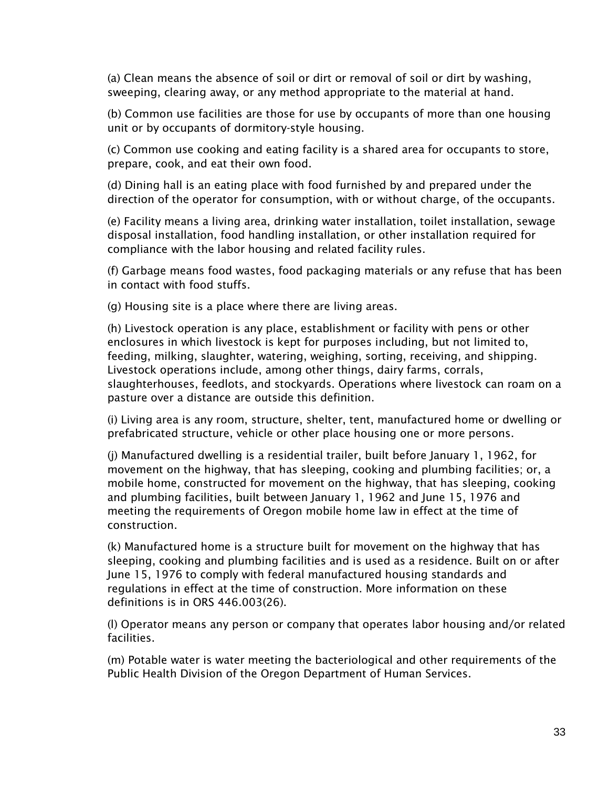(a) Clean means the absence of soil or dirt or removal of soil or dirt by washing, sweeping, clearing away, or any method appropriate to the material at hand.

(b) Common use facilities are those for use by occupants of more than one housing unit or by occupants of dormitory-style housing.

(c) Common use cooking and eating facility is a shared area for occupants to store, prepare, cook, and eat their own food.

(d) Dining hall is an eating place with food furnished by and prepared under the direction of the operator for consumption, with or without charge, of the occupants.

(e) Facility means a living area, drinking water installation, toilet installation, sewage disposal installation, food handling installation, or other installation required for compliance with the labor housing and related facility rules.

(f) Garbage means food wastes, food packaging materials or any refuse that has been in contact with food stuffs.

(g) Housing site is a place where there are living areas.

(h) Livestock operation is any place, establishment or facility with pens or other enclosures in which livestock is kept for purposes including, but not limited to, feeding, milking, slaughter, watering, weighing, sorting, receiving, and shipping. Livestock operations include, among other things, dairy farms, corrals, slaughterhouses, feedlots, and stockyards. Operations where livestock can roam on a pasture over a distance are outside this definition.

(i) Living area is any room, structure, shelter, tent, manufactured home or dwelling or prefabricated structure, vehicle or other place housing one or more persons.

(j) Manufactured dwelling is a residential trailer, built before January 1, 1962, for movement on the highway, that has sleeping, cooking and plumbing facilities; or, a mobile home, constructed for movement on the highway, that has sleeping, cooking and plumbing facilities, built between January 1, 1962 and June 15, 1976 and meeting the requirements of Oregon mobile home law in effect at the time of construction.

(k) Manufactured home is a structure built for movement on the highway that has sleeping, cooking and plumbing facilities and is used as a residence. Built on or after June 15, 1976 to comply with federal manufactured housing standards and regulations in effect at the time of construction. More information on these definitions is in ORS 446.003(26).

(l) Operator means any person or company that operates labor housing and/or related facilities.

(m) Potable water is water meeting the bacteriological and other requirements of the Public Health Division of the Oregon Department of Human Services.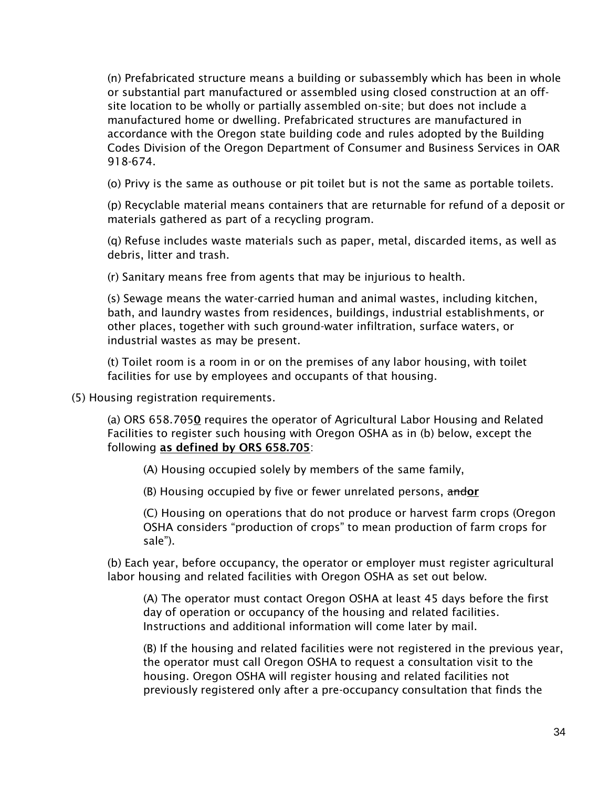(n) Prefabricated structure means a building or subassembly which has been in whole or substantial part manufactured or assembled using closed construction at an offsite location to be wholly or partially assembled on-site; but does not include a manufactured home or dwelling. Prefabricated structures are manufactured in accordance with the Oregon state building code and rules adopted by the Building Codes Division of the Oregon Department of Consumer and Business Services in OAR 918-674.

(o) Privy is the same as outhouse or pit toilet but is not the same as portable toilets.

(p) Recyclable material means containers that are returnable for refund of a deposit or materials gathered as part of a recycling program.

(q) Refuse includes waste materials such as paper, metal, discarded items, as well as debris, litter and trash.

(r) Sanitary means free from agents that may be injurious to health.

(s) Sewage means the water-carried human and animal wastes, including kitchen, bath, and laundry wastes from residences, buildings, industrial establishments, or other places, together with such ground-water infiltration, surface waters, or industrial wastes as may be present.

(t) Toilet room is a room in or on the premises of any labor housing, with toilet facilities for use by employees and occupants of that housing.

(5) Housing registration requirements.

(a) ORS 658.7 $\theta$ 50 requires the operator of Agricultural Labor Housing and Related Facilities to register such housing with Oregon OSHA as in (b) below, except the following as defined by ORS 658.705:

(A) Housing occupied solely by members of the same family,

(B) Housing occupied by five or fewer unrelated persons, andor

(C) Housing on operations that do not produce or harvest farm crops (Oregon OSHA considers "production of crops" to mean production of farm crops for sale").

(b) Each year, before occupancy, the operator or employer must register agricultural labor housing and related facilities with Oregon OSHA as set out below.

(A) The operator must contact Oregon OSHA at least 45 days before the first day of operation or occupancy of the housing and related facilities. Instructions and additional information will come later by mail.

(B) If the housing and related facilities were not registered in the previous year, the operator must call Oregon OSHA to request a consultation visit to the housing. Oregon OSHA will register housing and related facilities not previously registered only after a pre-occupancy consultation that finds the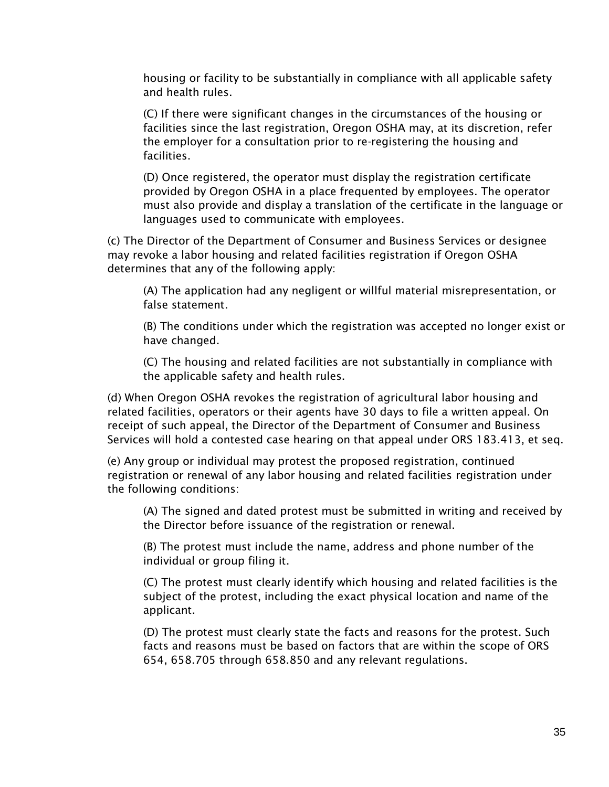housing or facility to be substantially in compliance with all applicable safety and health rules.

(C) If there were significant changes in the circumstances of the housing or facilities since the last registration, Oregon OSHA may, at its discretion, refer the employer for a consultation prior to re-registering the housing and facilities.

(D) Once registered, the operator must display the registration certificate provided by Oregon OSHA in a place frequented by employees. The operator must also provide and display a translation of the certificate in the language or languages used to communicate with employees.

(c) The Director of the Department of Consumer and Business Services or designee may revoke a labor housing and related facilities registration if Oregon OSHA determines that any of the following apply:

(A) The application had any negligent or willful material misrepresentation, or false statement.

(B) The conditions under which the registration was accepted no longer exist or have changed.

(C) The housing and related facilities are not substantially in compliance with the applicable safety and health rules.

(d) When Oregon OSHA revokes the registration of agricultural labor housing and related facilities, operators or their agents have 30 days to file a written appeal. On receipt of such appeal, the Director of the Department of Consumer and Business Services will hold a contested case hearing on that appeal under ORS 183.413, et seq.

(e) Any group or individual may protest the proposed registration, continued registration or renewal of any labor housing and related facilities registration under the following conditions:

(A) The signed and dated protest must be submitted in writing and received by the Director before issuance of the registration or renewal.

(B) The protest must include the name, address and phone number of the individual or group filing it.

(C) The protest must clearly identify which housing and related facilities is the subject of the protest, including the exact physical location and name of the applicant.

(D) The protest must clearly state the facts and reasons for the protest. Such facts and reasons must be based on factors that are within the scope of ORS 654, 658.705 through 658.850 and any relevant regulations.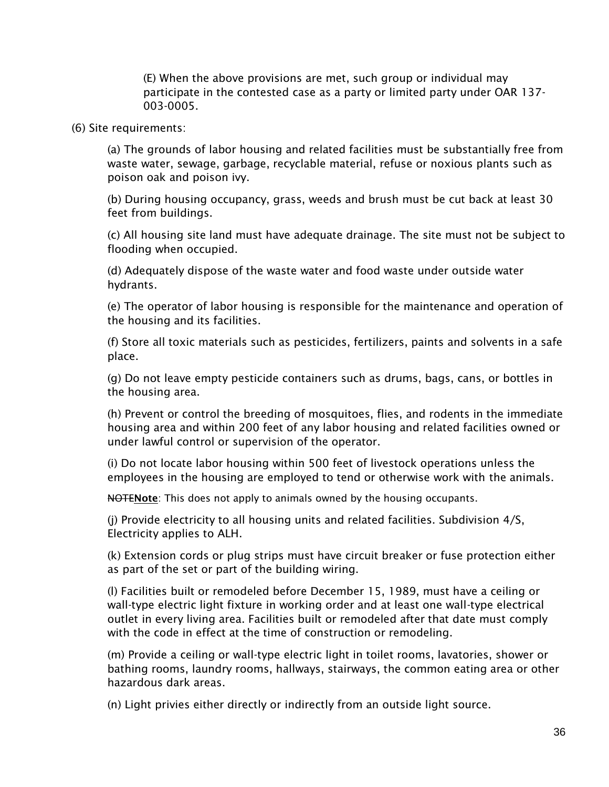(E) When the above provisions are met, such group or individual may participate in the contested case as a party or limited party under OAR 137- 003-0005.

(6) Site requirements:

(a) The grounds of labor housing and related facilities must be substantially free from waste water, sewage, garbage, recyclable material, refuse or noxious plants such as poison oak and poison ivy.

(b) During housing occupancy, grass, weeds and brush must be cut back at least 30 feet from buildings.

(c) All housing site land must have adequate drainage. The site must not be subject to flooding when occupied.

(d) Adequately dispose of the waste water and food waste under outside water hydrants.

(e) The operator of labor housing is responsible for the maintenance and operation of the housing and its facilities.

(f) Store all toxic materials such as pesticides, fertilizers, paints and solvents in a safe place.

(g) Do not leave empty pesticide containers such as drums, bags, cans, or bottles in the housing area.

(h) Prevent or control the breeding of mosquitoes, flies, and rodents in the immediate housing area and within 200 feet of any labor housing and related facilities owned or under lawful control or supervision of the operator.

(i) Do not locate labor housing within 500 feet of livestock operations unless the employees in the housing are employed to tend or otherwise work with the animals.

NOTENote: This does not apply to animals owned by the housing occupants.

(j) Provide electricity to all housing units and related facilities. Subdivision 4/S, Electricity applies to ALH.

(k) Extension cords or plug strips must have circuit breaker or fuse protection either as part of the set or part of the building wiring.

(l) Facilities built or remodeled before December 15, 1989, must have a ceiling or wall-type electric light fixture in working order and at least one wall-type electrical outlet in every living area. Facilities built or remodeled after that date must comply with the code in effect at the time of construction or remodeling.

(m) Provide a ceiling or wall-type electric light in toilet rooms, lavatories, shower or bathing rooms, laundry rooms, hallways, stairways, the common eating area or other hazardous dark areas.

(n) Light privies either directly or indirectly from an outside light source.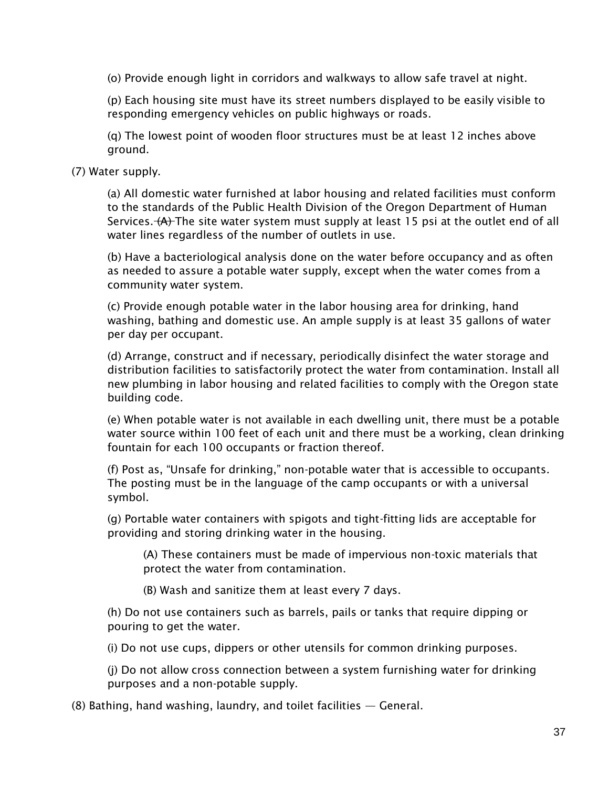(o) Provide enough light in corridors and walkways to allow safe travel at night.

(p) Each housing site must have its street numbers displayed to be easily visible to responding emergency vehicles on public highways or roads.

(q) The lowest point of wooden floor structures must be at least 12 inches above ground.

(7) Water supply.

(a) All domestic water furnished at labor housing and related facilities must conform to the standards of the Public Health Division of the Oregon Department of Human Services. (A) The site water system must supply at least 15 psi at the outlet end of all water lines regardless of the number of outlets in use.

(b) Have a bacteriological analysis done on the water before occupancy and as often as needed to assure a potable water supply, except when the water comes from a community water system.

(c) Provide enough potable water in the labor housing area for drinking, hand washing, bathing and domestic use. An ample supply is at least 35 gallons of water per day per occupant.

(d) Arrange, construct and if necessary, periodically disinfect the water storage and distribution facilities to satisfactorily protect the water from contamination. Install all new plumbing in labor housing and related facilities to comply with the Oregon state building code.

(e) When potable water is not available in each dwelling unit, there must be a potable water source within 100 feet of each unit and there must be a working, clean drinking fountain for each 100 occupants or fraction thereof.

(f) Post as, "Unsafe for drinking," non-potable water that is accessible to occupants. The posting must be in the language of the camp occupants or with a universal symbol.

(g) Portable water containers with spigots and tight-fitting lids are acceptable for providing and storing drinking water in the housing.

(A) These containers must be made of impervious non-toxic materials that protect the water from contamination.

(B) Wash and sanitize them at least every 7 days.

(h) Do not use containers such as barrels, pails or tanks that require dipping or pouring to get the water.

(i) Do not use cups, dippers or other utensils for common drinking purposes.

(j) Do not allow cross connection between a system furnishing water for drinking purposes and a non-potable supply.

(8) Bathing, hand washing, laundry, and toilet facilities — General.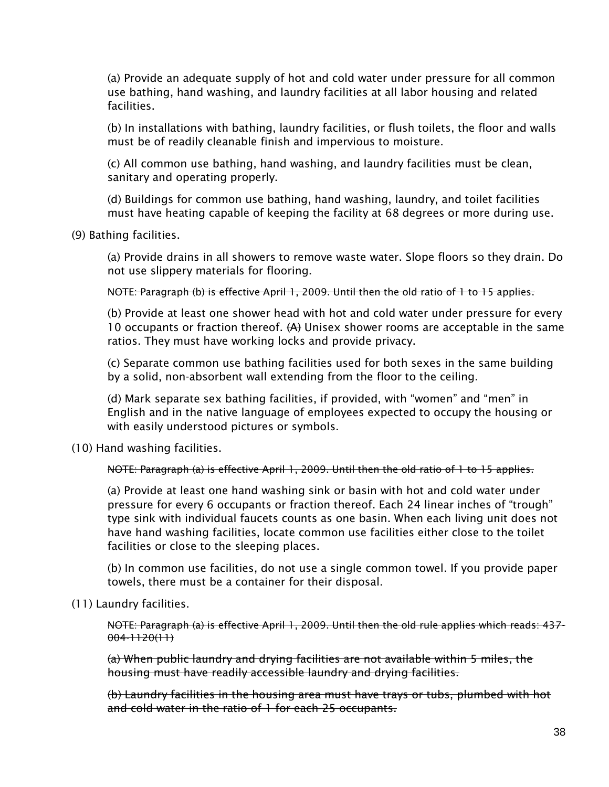(a) Provide an adequate supply of hot and cold water under pressure for all common use bathing, hand washing, and laundry facilities at all labor housing and related facilities.

(b) In installations with bathing, laundry facilities, or flush toilets, the floor and walls must be of readily cleanable finish and impervious to moisture.

(c) All common use bathing, hand washing, and laundry facilities must be clean, sanitary and operating properly.

(d) Buildings for common use bathing, hand washing, laundry, and toilet facilities must have heating capable of keeping the facility at 68 degrees or more during use.

(9) Bathing facilities.

(a) Provide drains in all showers to remove waste water. Slope floors so they drain. Do not use slippery materials for flooring.

NOTE: Paragraph (b) is effective April 1, 2009. Until then the old ratio of 1 to 15 applies.

(b) Provide at least one shower head with hot and cold water under pressure for every 10 occupants or fraction thereof.  $(A)$  Unisex shower rooms are acceptable in the same ratios. They must have working locks and provide privacy.

(c) Separate common use bathing facilities used for both sexes in the same building by a solid, non-absorbent wall extending from the floor to the ceiling.

(d) Mark separate sex bathing facilities, if provided, with "women" and "men" in English and in the native language of employees expected to occupy the housing or with easily understood pictures or symbols.

(10) Hand washing facilities.

NOTE: Paragraph (a) is effective April 1, 2009. Until then the old ratio of 1 to 15 applies.

(a) Provide at least one hand washing sink or basin with hot and cold water under pressure for every 6 occupants or fraction thereof. Each 24 linear inches of "trough" type sink with individual faucets counts as one basin. When each living unit does not have hand washing facilities, locate common use facilities either close to the toilet facilities or close to the sleeping places.

(b) In common use facilities, do not use a single common towel. If you provide paper towels, there must be a container for their disposal.

(11) Laundry facilities.

NOTE: Paragraph (a) is effective April 1, 2009. Until then the old rule applies which reads: 437-  $004 - 1120(1)$ 

(a) When public laundry and drying facilities are not available within 5 miles, the housing must have readily accessible laundry and drying facilities.

(b) Laundry facilities in the housing area must have trays or tubs, plumbed with hot and cold water in the ratio of 1 for each 25 occupants.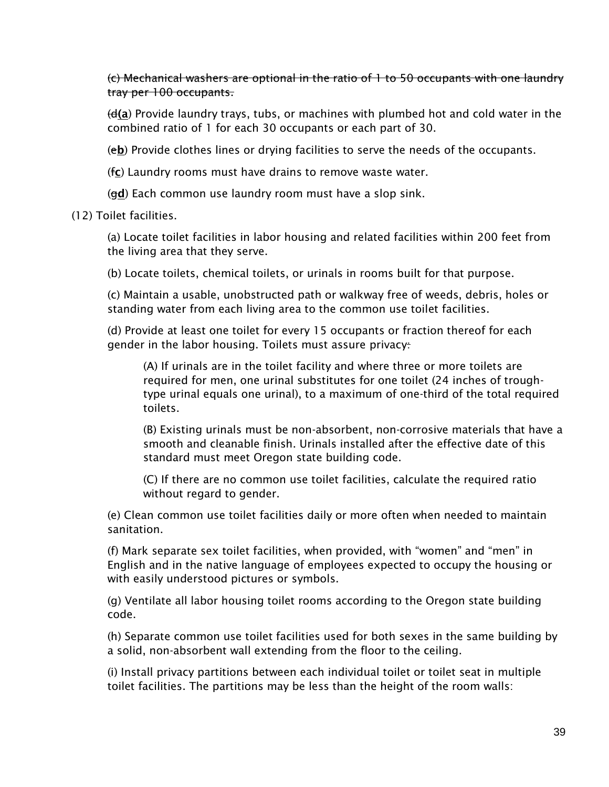(c) Mechanical washers are optional in the ratio of 1 to 50 occupants with one laundry tray per 100 occupants.

 $(d(a))$  Provide laundry trays, tubs, or machines with plumbed hot and cold water in the combined ratio of 1 for each 30 occupants or each part of 30.

(eb) Provide clothes lines or drying facilities to serve the needs of the occupants.

(fc) Laundry rooms must have drains to remove waste water.

 $(qd)$  Each common use laundry room must have a slop sink.

(12) Toilet facilities.

(a) Locate toilet facilities in labor housing and related facilities within 200 feet from the living area that they serve.

(b) Locate toilets, chemical toilets, or urinals in rooms built for that purpose.

(c) Maintain a usable, unobstructed path or walkway free of weeds, debris, holes or standing water from each living area to the common use toilet facilities.

(d) Provide at least one toilet for every 15 occupants or fraction thereof for each gender in the labor housing. Toilets must assure privacy:

(A) If urinals are in the toilet facility and where three or more toilets are required for men, one urinal substitutes for one toilet (24 inches of troughtype urinal equals one urinal), to a maximum of one-third of the total required toilets.

(B) Existing urinals must be non-absorbent, non-corrosive materials that have a smooth and cleanable finish. Urinals installed after the effective date of this standard must meet Oregon state building code.

(C) If there are no common use toilet facilities, calculate the required ratio without regard to gender.

(e) Clean common use toilet facilities daily or more often when needed to maintain sanitation.

(f) Mark separate sex toilet facilities, when provided, with "women" and "men" in English and in the native language of employees expected to occupy the housing or with easily understood pictures or symbols.

(g) Ventilate all labor housing toilet rooms according to the Oregon state building code.

(h) Separate common use toilet facilities used for both sexes in the same building by a solid, non-absorbent wall extending from the floor to the ceiling.

(i) Install privacy partitions between each individual toilet or toilet seat in multiple toilet facilities. The partitions may be less than the height of the room walls: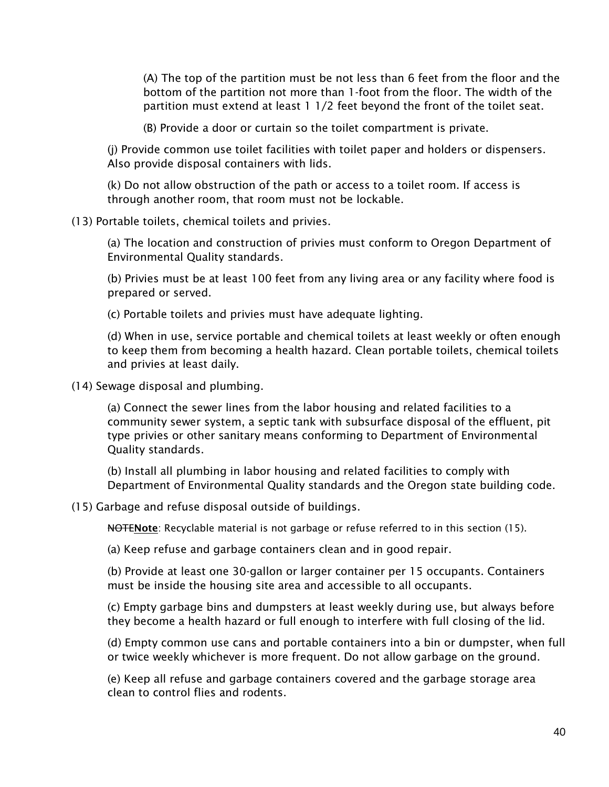(A) The top of the partition must be not less than 6 feet from the floor and the bottom of the partition not more than 1-foot from the floor. The width of the partition must extend at least 1 1/2 feet beyond the front of the toilet seat.

(B) Provide a door or curtain so the toilet compartment is private.

(j) Provide common use toilet facilities with toilet paper and holders or dispensers. Also provide disposal containers with lids.

(k) Do not allow obstruction of the path or access to a toilet room. If access is through another room, that room must not be lockable.

(13) Portable toilets, chemical toilets and privies.

(a) The location and construction of privies must conform to Oregon Department of Environmental Quality standards.

(b) Privies must be at least 100 feet from any living area or any facility where food is prepared or served.

(c) Portable toilets and privies must have adequate lighting.

(d) When in use, service portable and chemical toilets at least weekly or often enough to keep them from becoming a health hazard. Clean portable toilets, chemical toilets and privies at least daily.

(14) Sewage disposal and plumbing.

(a) Connect the sewer lines from the labor housing and related facilities to a community sewer system, a septic tank with subsurface disposal of the effluent, pit type privies or other sanitary means conforming to Department of Environmental Quality standards.

(b) Install all plumbing in labor housing and related facilities to comply with Department of Environmental Quality standards and the Oregon state building code.

(15) Garbage and refuse disposal outside of buildings.

NOTENote: Recyclable material is not garbage or refuse referred to in this section (15).

(a) Keep refuse and garbage containers clean and in good repair.

(b) Provide at least one 30-gallon or larger container per 15 occupants. Containers must be inside the housing site area and accessible to all occupants.

(c) Empty garbage bins and dumpsters at least weekly during use, but always before they become a health hazard or full enough to interfere with full closing of the lid.

(d) Empty common use cans and portable containers into a bin or dumpster, when full or twice weekly whichever is more frequent. Do not allow garbage on the ground.

(e) Keep all refuse and garbage containers covered and the garbage storage area clean to control flies and rodents.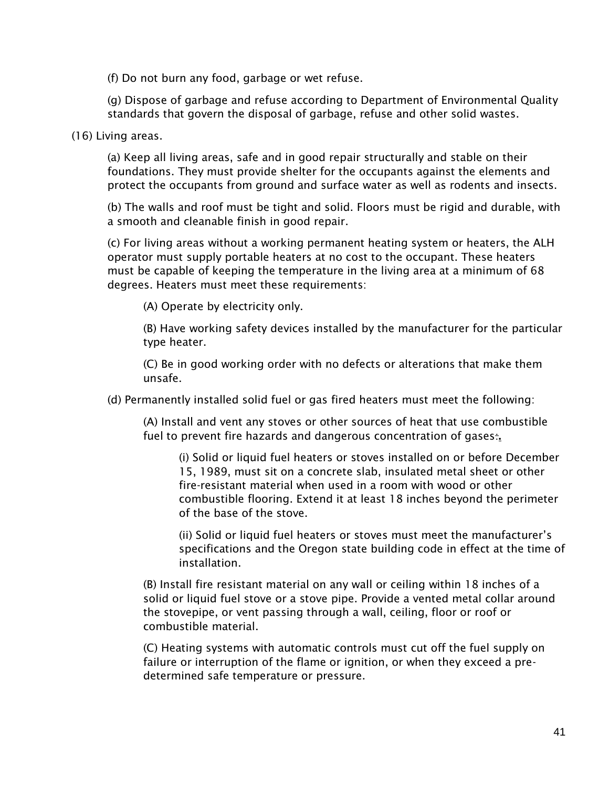(f) Do not burn any food, garbage or wet refuse.

(g) Dispose of garbage and refuse according to Department of Environmental Quality standards that govern the disposal of garbage, refuse and other solid wastes.

(16) Living areas.

(a) Keep all living areas, safe and in good repair structurally and stable on their foundations. They must provide shelter for the occupants against the elements and protect the occupants from ground and surface water as well as rodents and insects.

(b) The walls and roof must be tight and solid. Floors must be rigid and durable, with a smooth and cleanable finish in good repair.

(c) For living areas without a working permanent heating system or heaters, the ALH operator must supply portable heaters at no cost to the occupant. These heaters must be capable of keeping the temperature in the living area at a minimum of 68 degrees. Heaters must meet these requirements:

(A) Operate by electricity only.

(B) Have working safety devices installed by the manufacturer for the particular type heater.

(C) Be in good working order with no defects or alterations that make them unsafe.

(d) Permanently installed solid fuel or gas fired heaters must meet the following:

(A) Install and vent any stoves or other sources of heat that use combustible fuel to prevent fire hazards and dangerous concentration of gases.

(i) Solid or liquid fuel heaters or stoves installed on or before December 15, 1989, must sit on a concrete slab, insulated metal sheet or other fire-resistant material when used in a room with wood or other combustible flooring. Extend it at least 18 inches beyond the perimeter of the base of the stove.

(ii) Solid or liquid fuel heaters or stoves must meet the manufacturer's specifications and the Oregon state building code in effect at the time of installation.

(B) Install fire resistant material on any wall or ceiling within 18 inches of a solid or liquid fuel stove or a stove pipe. Provide a vented metal collar around the stovepipe, or vent passing through a wall, ceiling, floor or roof or combustible material.

(C) Heating systems with automatic controls must cut off the fuel supply on failure or interruption of the flame or ignition, or when they exceed a predetermined safe temperature or pressure.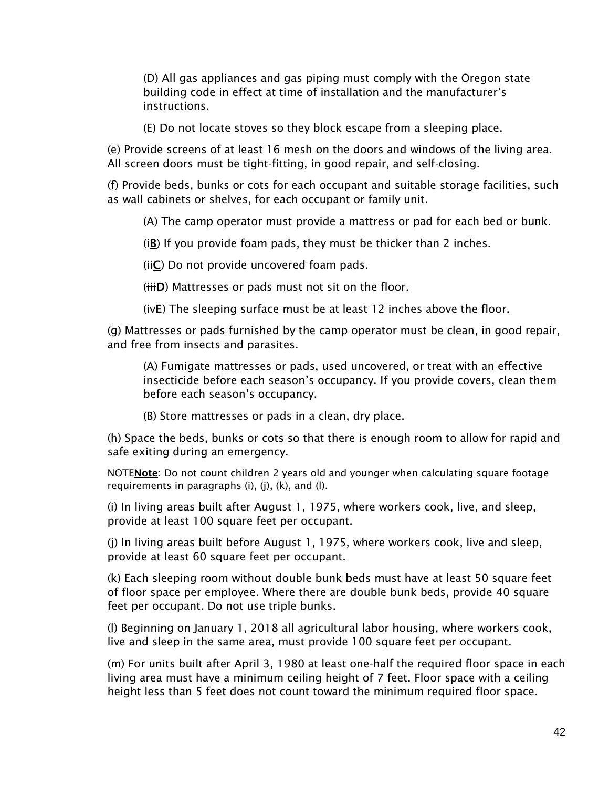(D) All gas appliances and gas piping must comply with the Oregon state building code in effect at time of installation and the manufacturer's instructions.

(E) Do not locate stoves so they block escape from a sleeping place.

(e) Provide screens of at least 16 mesh on the doors and windows of the living area. All screen doors must be tight-fitting, in good repair, and self-closing.

(f) Provide beds, bunks or cots for each occupant and suitable storage facilities, such as wall cabinets or shelves, for each occupant or family unit.

(A) The camp operator must provide a mattress or pad for each bed or bunk.

(iB) If you provide foam pads, they must be thicker than 2 inches.

 $(i\text{iC})$  Do not provide uncovered foam pads.

(iiiD) Mattresses or pads must not sit on the floor.

 $(ivE)$  The sleeping surface must be at least 12 inches above the floor.

(g) Mattresses or pads furnished by the camp operator must be clean, in good repair, and free from insects and parasites.

(A) Fumigate mattresses or pads, used uncovered, or treat with an effective insecticide before each season's occupancy. If you provide covers, clean them before each season's occupancy.

(B) Store mattresses or pads in a clean, dry place.

(h) Space the beds, bunks or cots so that there is enough room to allow for rapid and safe exiting during an emergency.

NOTENote: Do not count children 2 years old and younger when calculating square footage requirements in paragraphs (i), (j), (k), and (l).

(i) In living areas built after August 1, 1975, where workers cook, live, and sleep, provide at least 100 square feet per occupant.

(j) In living areas built before August 1, 1975, where workers cook, live and sleep, provide at least 60 square feet per occupant.

(k) Each sleeping room without double bunk beds must have at least 50 square feet of floor space per employee. Where there are double bunk beds, provide 40 square feet per occupant. Do not use triple bunks.

(l) Beginning on January 1, 2018 all agricultural labor housing, where workers cook, live and sleep in the same area, must provide 100 square feet per occupant.

(m) For units built after April 3, 1980 at least one-half the required floor space in each living area must have a minimum ceiling height of 7 feet. Floor space with a ceiling height less than 5 feet does not count toward the minimum required floor space.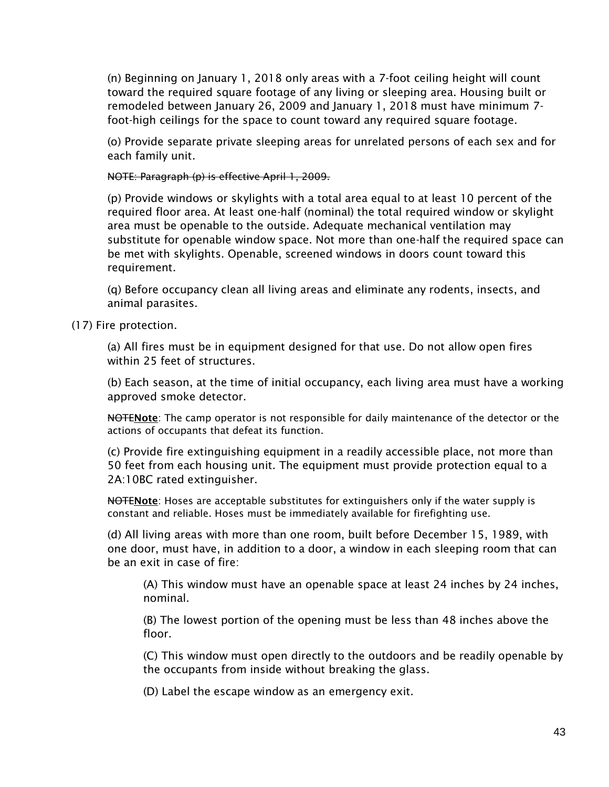(n) Beginning on January 1, 2018 only areas with a 7-foot ceiling height will count toward the required square footage of any living or sleeping area. Housing built or remodeled between January 26, 2009 and January 1, 2018 must have minimum 7 foot-high ceilings for the space to count toward any required square footage.

(o) Provide separate private sleeping areas for unrelated persons of each sex and for each family unit.

NOTE: Paragraph (p) is effective April 1, 2009.

(p) Provide windows or skylights with a total area equal to at least 10 percent of the required floor area. At least one-half (nominal) the total required window or skylight area must be openable to the outside. Adequate mechanical ventilation may substitute for openable window space. Not more than one-half the required space can be met with skylights. Openable, screened windows in doors count toward this requirement.

(q) Before occupancy clean all living areas and eliminate any rodents, insects, and animal parasites.

(17) Fire protection.

(a) All fires must be in equipment designed for that use. Do not allow open fires within 25 feet of structures.

(b) Each season, at the time of initial occupancy, each living area must have a working approved smoke detector.

NOTENote: The camp operator is not responsible for daily maintenance of the detector or the actions of occupants that defeat its function.

(c) Provide fire extinguishing equipment in a readily accessible place, not more than 50 feet from each housing unit. The equipment must provide protection equal to a 2A:10BC rated extinguisher.

NOTENote: Hoses are acceptable substitutes for extinguishers only if the water supply is constant and reliable. Hoses must be immediately available for firefighting use.

(d) All living areas with more than one room, built before December 15, 1989, with one door, must have, in addition to a door, a window in each sleeping room that can be an exit in case of fire:

(A) This window must have an openable space at least 24 inches by 24 inches, nominal.

(B) The lowest portion of the opening must be less than 48 inches above the floor.

(C) This window must open directly to the outdoors and be readily openable by the occupants from inside without breaking the glass.

(D) Label the escape window as an emergency exit.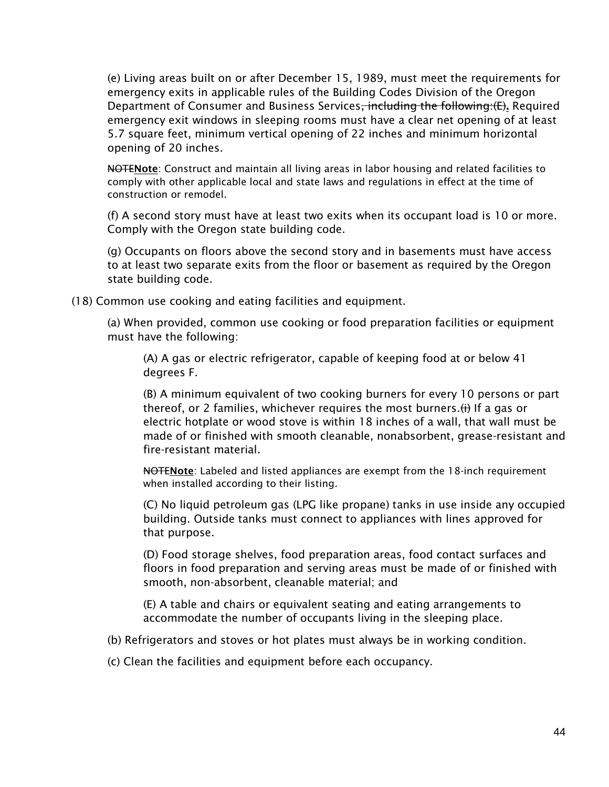(e) Living areas built on or after December 15, 1989, must meet the requirements for emergency exits in applicable rules of the Building Codes Division of the Oregon Department of Consumer and Business Services<del>, including the following:(E)</del>. Required emergency exit windows in sleeping rooms must have a clear net opening of at least 5.7 square feet, minimum vertical opening of 22 inches and minimum horizontal opening of 20 inches.

NOTENote: Construct and maintain all living areas in labor housing and related facilities to comply with other applicable local and state laws and regulations in effect at the time of construction or remodel.

(f) A second story must have at least two exits when its occupant load is 10 or more. Comply with the Oregon state building code.

(g) Occupants on floors above the second story and in basements must have access to at least two separate exits from the floor or basement as required by the Oregon state building code.

(18) Common use cooking and eating facilities and equipment.

(a) When provided, common use cooking or food preparation facilities or equipment must have the following:

(A) A gas or electric refrigerator, capable of keeping food at or below 41 degrees F.

(B) A minimum equivalent of two cooking burners for every 10 persons or part thereof, or 2 families, whichever requires the most burners.  $\leftrightarrow$  If a gas or electric hotplate or wood stove is within 18 inches of a wall, that wall must be made of or finished with smooth cleanable, nonabsorbent, grease-resistant and fire-resistant material.

NOTENote: Labeled and listed appliances are exempt from the 18-inch requirement when installed according to their listing.

(C) No liquid petroleum gas (LPG like propane) tanks in use inside any occupied building. Outside tanks must connect to appliances with lines approved for that purpose.

(D) Food storage shelves, food preparation areas, food contact surfaces and floors in food preparation and serving areas must be made of or finished with smooth, non-absorbent, cleanable material; and

(E) A table and chairs or equivalent seating and eating arrangements to accommodate the number of occupants living in the sleeping place.

(b) Refrigerators and stoves or hot plates must always be in working condition.

(c) Clean the facilities and equipment before each occupancy.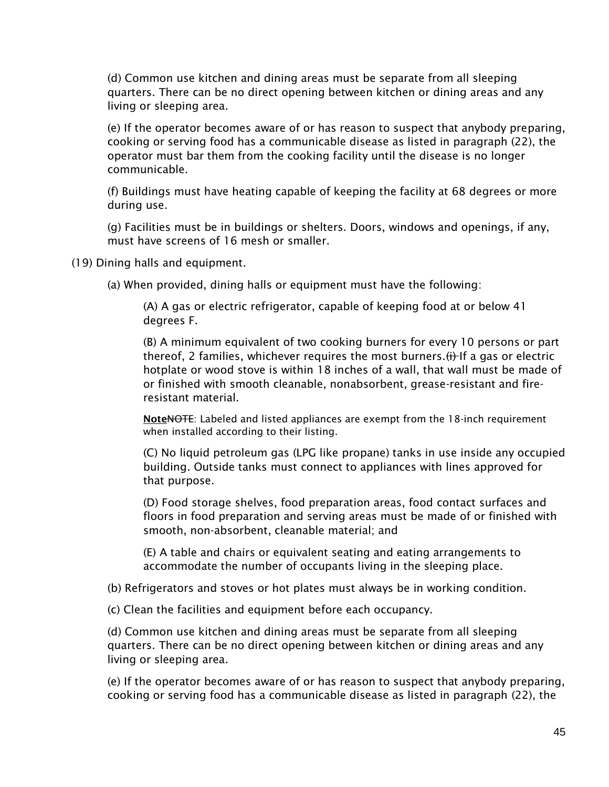(d) Common use kitchen and dining areas must be separate from all sleeping quarters. There can be no direct opening between kitchen or dining areas and any living or sleeping area.

(e) If the operator becomes aware of or has reason to suspect that anybody preparing, cooking or serving food has a communicable disease as listed in paragraph (22), the operator must bar them from the cooking facility until the disease is no longer communicable.

(f) Buildings must have heating capable of keeping the facility at 68 degrees or more during use.

(g) Facilities must be in buildings or shelters. Doors, windows and openings, if any, must have screens of 16 mesh or smaller.

(19) Dining halls and equipment.

(a) When provided, dining halls or equipment must have the following:

(A) A gas or electric refrigerator, capable of keeping food at or below 41 degrees F.

(B) A minimum equivalent of two cooking burners for every 10 persons or part thereof, 2 families, whichever requires the most burners. (i) If a gas or electric hotplate or wood stove is within 18 inches of a wall, that wall must be made of or finished with smooth cleanable, nonabsorbent, grease-resistant and fireresistant material.

NoteNOTE: Labeled and listed appliances are exempt from the 18-inch requirement when installed according to their listing.

(C) No liquid petroleum gas (LPG like propane) tanks in use inside any occupied building. Outside tanks must connect to appliances with lines approved for that purpose.

(D) Food storage shelves, food preparation areas, food contact surfaces and floors in food preparation and serving areas must be made of or finished with smooth, non-absorbent, cleanable material; and

(E) A table and chairs or equivalent seating and eating arrangements to accommodate the number of occupants living in the sleeping place.

(b) Refrigerators and stoves or hot plates must always be in working condition.

(c) Clean the facilities and equipment before each occupancy.

(d) Common use kitchen and dining areas must be separate from all sleeping quarters. There can be no direct opening between kitchen or dining areas and any living or sleeping area.

(e) If the operator becomes aware of or has reason to suspect that anybody preparing, cooking or serving food has a communicable disease as listed in paragraph (22), the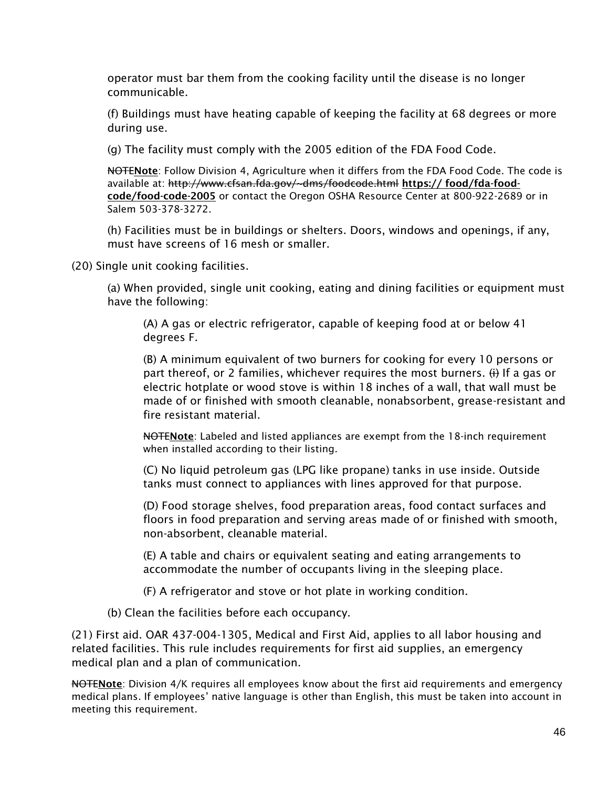operator must bar them from the cooking facility until the disease is no longer communicable.

(f) Buildings must have heating capable of keeping the facility at 68 degrees or more during use.

(g) The facility must comply with the 2005 edition of the FDA Food Code.

NOTENote: Follow Division 4, Agriculture when it differs from the FDA Food Code. The code is available at: http://www.cfsan.fda.gov/~dms/foodcode.html https:// food/fda-foodcode/food-code-2005 or contact the Oregon OSHA Resource Center at 800-922-2689 or in Salem 503-378-3272.

(h) Facilities must be in buildings or shelters. Doors, windows and openings, if any, must have screens of 16 mesh or smaller.

(20) Single unit cooking facilities.

(a) When provided, single unit cooking, eating and dining facilities or equipment must have the following:

(A) A gas or electric refrigerator, capable of keeping food at or below 41 degrees F.

(B) A minimum equivalent of two burners for cooking for every 10 persons or part thereof, or 2 families, whichever requires the most burners.  $\leftrightarrow$  If a gas or electric hotplate or wood stove is within 18 inches of a wall, that wall must be made of or finished with smooth cleanable, nonabsorbent, grease-resistant and fire resistant material.

NOTENote: Labeled and listed appliances are exempt from the 18-inch requirement when installed according to their listing.

(C) No liquid petroleum gas (LPG like propane) tanks in use inside. Outside tanks must connect to appliances with lines approved for that purpose.

(D) Food storage shelves, food preparation areas, food contact surfaces and floors in food preparation and serving areas made of or finished with smooth, non-absorbent, cleanable material.

(E) A table and chairs or equivalent seating and eating arrangements to accommodate the number of occupants living in the sleeping place.

(F) A refrigerator and stove or hot plate in working condition.

(b) Clean the facilities before each occupancy.

(21) First aid. OAR 437-004-1305, Medical and First Aid, applies to all labor housing and related facilities. This rule includes requirements for first aid supplies, an emergency medical plan and a plan of communication.

NOTENote: Division 4/K requires all employees know about the first aid requirements and emergency medical plans. If employees' native language is other than English, this must be taken into account in meeting this requirement.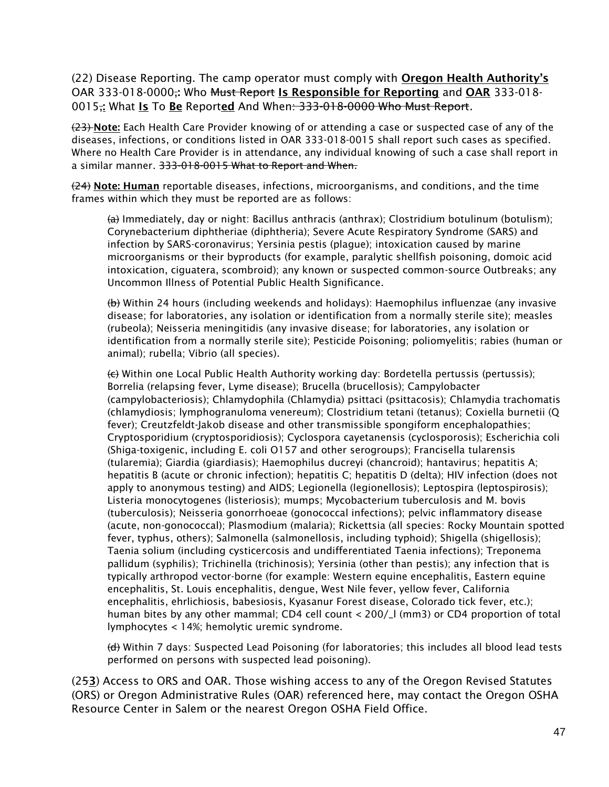(22) Disease Reporting. The camp operator must comply with Oregon Health Authority's OAR 333-018-0000; Who Must Report Is Responsible for Reporting and OAR 333-018-0015; What Is To Be Reported And When: 333-018-0000 Who Must Report.

(23) Note: Each Health Care Provider knowing of or attending a case or suspected case of any of the diseases, infections, or conditions listed in OAR 333-018-0015 shall report such cases as specified. Where no Health Care Provider is in attendance, any individual knowing of such a case shall report in a similar manner. 333-018-0015 What to Report and When.

(24) Note: Human reportable diseases, infections, microorganisms, and conditions, and the time frames within which they must be reported are as follows:

 $\left(\frac{a}{b}\right)$  Immediately, day or night: Bacillus anthracis (anthrax); Clostridium botulinum (botulism); Corynebacterium diphtheriae (diphtheria); Severe Acute Respiratory Syndrome (SARS) and infection by SARS-coronavirus; Yersinia pestis (plague); intoxication caused by marine microorganisms or their byproducts (for example, paralytic shellfish poisoning, domoic acid intoxication, ciguatera, scombroid); any known or suspected common-source Outbreaks; any Uncommon Illness of Potential Public Health Significance.

(b) Within 24 hours (including weekends and holidays): Haemophilus influenzae (any invasive disease; for laboratories, any isolation or identification from a normally sterile site); measles (rubeola); Neisseria meningitidis (any invasive disease; for laboratories, any isolation or identification from a normally sterile site); Pesticide Poisoning; poliomyelitis; rabies (human or animal); rubella; Vibrio (all species).

(c) Within one Local Public Health Authority working day: Bordetella pertussis (pertussis); Borrelia (relapsing fever, Lyme disease); Brucella (brucellosis); Campylobacter (campylobacteriosis); Chlamydophila (Chlamydia) psittaci (psittacosis); Chlamydia trachomatis (chlamydiosis; lymphogranuloma venereum); Clostridium tetani (tetanus); Coxiella burnetii (Q fever); Creutzfeldt-Jakob disease and other transmissible spongiform encephalopathies; Cryptosporidium (cryptosporidiosis); Cyclospora cayetanensis (cyclosporosis); Escherichia coli (Shiga-toxigenic, including E. coli O157 and other serogroups); Francisella tularensis (tularemia); Giardia (giardiasis); Haemophilus ducreyi (chancroid); hantavirus; hepatitis A; hepatitis B (acute or chronic infection); hepatitis C; hepatitis D (delta); HIV infection (does not apply to anonymous testing) and AIDS; Legionella (legionellosis); Leptospira (leptospirosis); Listeria monocytogenes (listeriosis); mumps; Mycobacterium tuberculosis and M. bovis (tuberculosis); Neisseria gonorrhoeae (gonococcal infections); pelvic inflammatory disease (acute, non-gonococcal); Plasmodium (malaria); Rickettsia (all species: Rocky Mountain spotted fever, typhus, others); Salmonella (salmonellosis, including typhoid); Shigella (shigellosis); Taenia solium (including cysticercosis and undifferentiated Taenia infections); Treponema pallidum (syphilis); Trichinella (trichinosis); Yersinia (other than pestis); any infection that is typically arthropod vector-borne (for example: Western equine encephalitis, Eastern equine encephalitis, St. Louis encephalitis, dengue, West Nile fever, yellow fever, California encephalitis, ehrlichiosis, babesiosis, Kyasanur Forest disease, Colorado tick fever, etc.); human bites by any other mammal; CD4 cell count < 200/\_l (mm3) or CD4 proportion of total lymphocytes < 14%; hemolytic uremic syndrome.

(d) Within 7 days: Suspected Lead Poisoning (for laboratories; this includes all blood lead tests performed on persons with suspected lead poisoning).

(253) Access to ORS and OAR. Those wishing access to any of the Oregon Revised Statutes (ORS) or Oregon Administrative Rules (OAR) referenced here, may contact the Oregon OSHA Resource Center in Salem or the nearest Oregon OSHA Field Office.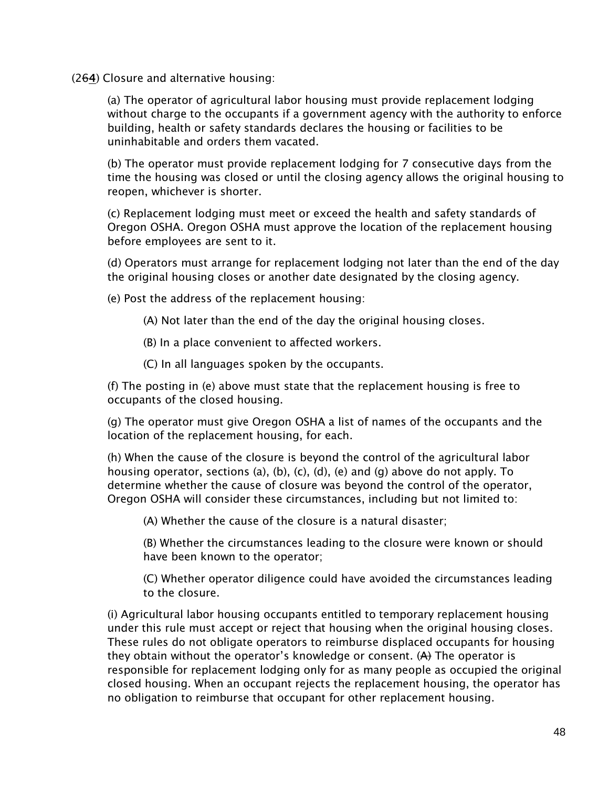(264) Closure and alternative housing:

(a) The operator of agricultural labor housing must provide replacement lodging without charge to the occupants if a government agency with the authority to enforce building, health or safety standards declares the housing or facilities to be uninhabitable and orders them vacated.

(b) The operator must provide replacement lodging for 7 consecutive days from the time the housing was closed or until the closing agency allows the original housing to reopen, whichever is shorter.

(c) Replacement lodging must meet or exceed the health and safety standards of Oregon OSHA. Oregon OSHA must approve the location of the replacement housing before employees are sent to it.

(d) Operators must arrange for replacement lodging not later than the end of the day the original housing closes or another date designated by the closing agency.

(e) Post the address of the replacement housing:

(A) Not later than the end of the day the original housing closes.

(B) In a place convenient to affected workers.

(C) In all languages spoken by the occupants.

(f) The posting in (e) above must state that the replacement housing is free to occupants of the closed housing.

(g) The operator must give Oregon OSHA a list of names of the occupants and the location of the replacement housing, for each.

(h) When the cause of the closure is beyond the control of the agricultural labor housing operator, sections (a), (b), (c), (d), (e) and (q) above do not apply. To determine whether the cause of closure was beyond the control of the operator, Oregon OSHA will consider these circumstances, including but not limited to:

(A) Whether the cause of the closure is a natural disaster;

(B) Whether the circumstances leading to the closure were known or should have been known to the operator;

(C) Whether operator diligence could have avoided the circumstances leading to the closure.

(i) Agricultural labor housing occupants entitled to temporary replacement housing under this rule must accept or reject that housing when the original housing closes. These rules do not obligate operators to reimburse displaced occupants for housing they obtain without the operator's knowledge or consent.  $(A)$  The operator is responsible for replacement lodging only for as many people as occupied the original closed housing. When an occupant rejects the replacement housing, the operator has no obligation to reimburse that occupant for other replacement housing.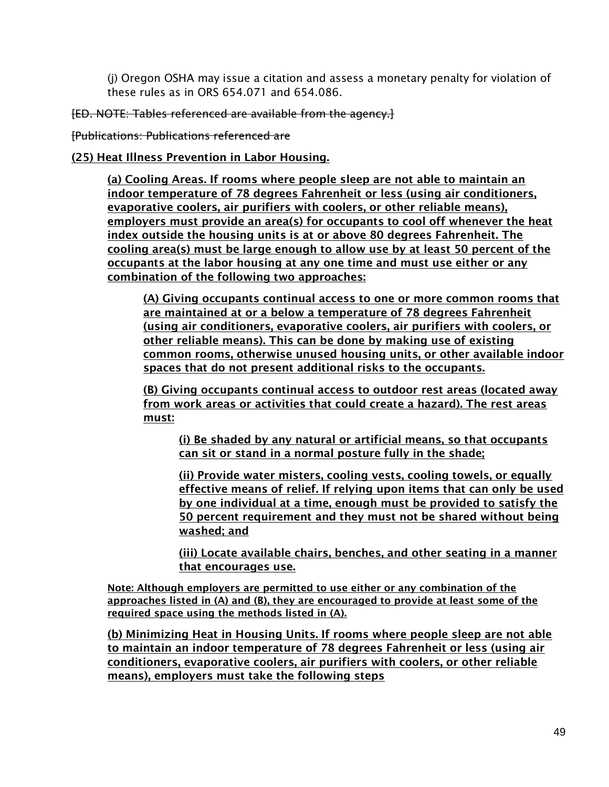(j) Oregon OSHA may issue a citation and assess a monetary penalty for violation of these rules as in ORS 654.071 and 654.086.

[ED. NOTE: Tables referenced are available from the agency.]

[Publications: Publications referenced are

(25) Heat Illness Prevention in Labor Housing.

(a) Cooling Areas. If rooms where people sleep are not able to maintain an indoor temperature of 78 degrees Fahrenheit or less (using air conditioners, evaporative coolers, air purifiers with coolers, or other reliable means), employers must provide an area(s) for occupants to cool off whenever the heat index outside the housing units is at or above 80 degrees Fahrenheit. The cooling area(s) must be large enough to allow use by at least 50 percent of the occupants at the labor housing at any one time and must use either or any combination of the following two approaches:

(A) Giving occupants continual access to one or more common rooms that are maintained at or a below a temperature of 78 degrees Fahrenheit (using air conditioners, evaporative coolers, air purifiers with coolers, or other reliable means). This can be done by making use of existing common rooms, otherwise unused housing units, or other available indoor spaces that do not present additional risks to the occupants.

(B) Giving occupants continual access to outdoor rest areas (located away from work areas or activities that could create a hazard). The rest areas must:

(i) Be shaded by any natural or artificial means, so that occupants can sit or stand in a normal posture fully in the shade;

(ii) Provide water misters, cooling vests, cooling towels, or equally effective means of relief. If relying upon items that can only be used by one individual at a time, enough must be provided to satisfy the 50 percent requirement and they must not be shared without being washed; and

(iii) Locate available chairs, benches, and other seating in a manner that encourages use.

Note: Although employers are permitted to use either or any combination of the approaches listed in (A) and (B), they are encouraged to provide at least some of the required space using the methods listed in (A).

(b) Minimizing Heat in Housing Units. If rooms where people sleep are not able to maintain an indoor temperature of 78 degrees Fahrenheit or less (using air conditioners, evaporative coolers, air purifiers with coolers, or other reliable means), employers must take the following steps